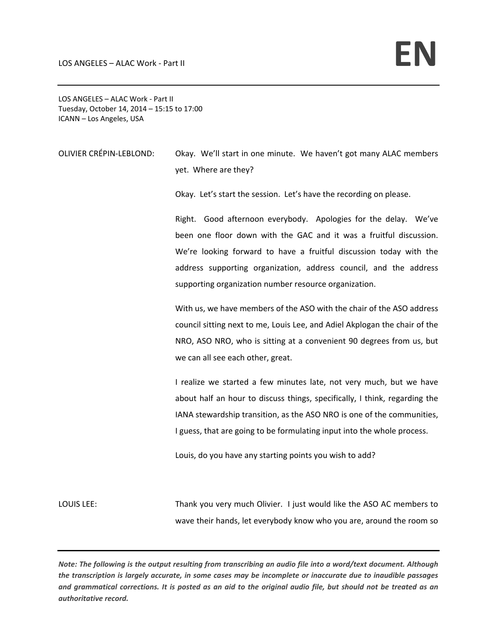LOS ANGELES – ALAC Work ‐ Part II Tuesday, October 14, 2014 – 15:15 to 17:00 ICANN – Los Angeles, USA

OLIVIER CRÉPIN‐LEBLOND: Okay. We'll start in one minute. We haven't got many ALAC members yet. Where are they?

Okay. Let's start the session. Let's have the recording on please.

Right. Good afternoon everybody. Apologies for the delay. We've been one floor down with the GAC and it was a fruitful discussion. We're looking forward to have a fruitful discussion today with the address supporting organization, address council, and the address supporting organization number resource organization.

With us, we have members of the ASO with the chair of the ASO address council sitting next to me, Louis Lee, and Adiel Akplogan the chair of the NRO, ASO NRO, who is sitting at a convenient 90 degrees from us, but we can all see each other, great.

I realize we started a few minutes late, not very much, but we have about half an hour to discuss things, specifically, I think, regarding the IANA stewardship transition, as the ASO NRO is one of the communities, I guess, that are going to be formulating input into the whole process.

Louis, do you have any starting points you wish to add?

LOUIS LEE: Thank you very much Olivier. I just would like the ASO AC members to wave their hands, let everybody know who you are, around the room so

Note: The following is the output resulting from transcribing an audio file into a word/text document. Although the transcription is largely accurate, in some cases may be incomplete or inaccurate due to inaudible passages and grammatical corrections. It is posted as an aid to the original audio file, but should not be treated as an *authoritative record.*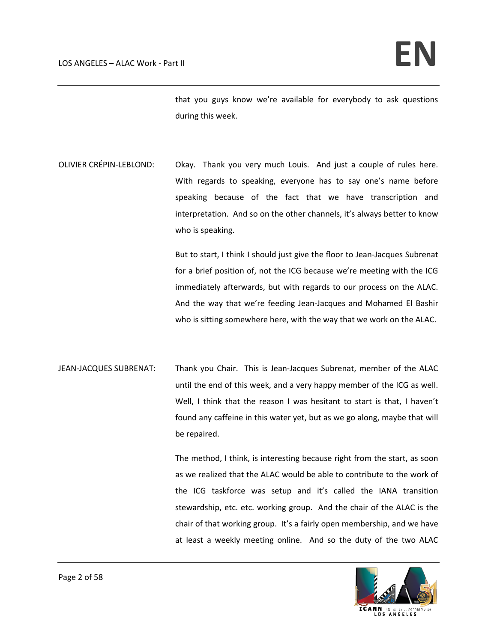that you guys know we're available for everybody to ask questions during this week.

OLIVIER CRÉPIN-LEBLOND: Okay. Thank you very much Louis. And just a couple of rules here. With regards to speaking, everyone has to say one's name before speaking because of the fact that we have transcription and interpretation. And so on the other channels, it's always better to know who is speaking.

> But to start, I think I should just give the floor to Jean‐Jacques Subrenat for a brief position of, not the ICG because we're meeting with the ICG immediately afterwards, but with regards to our process on the ALAC. And the way that we're feeding Jean‐Jacques and Mohamed El Bashir who is sitting somewhere here, with the way that we work on the ALAC.

JEAN-JACQUES SUBRENAT: Thank you Chair. This is Jean-Jacques Subrenat, member of the ALAC until the end of this week, and a very happy member of the ICG as well. Well, I think that the reason I was hesitant to start is that, I haven't found any caffeine in this water yet, but as we go along, maybe that will be repaired.

> The method, I think, is interesting because right from the start, as soon as we realized that the ALAC would be able to contribute to the work of the ICG taskforce was setup and it's called the IANA transition stewardship, etc. etc. working group. And the chair of the ALAC is the chair of that working group. It's a fairly open membership, and we have at least a weekly meeting online. And so the duty of the two ALAC

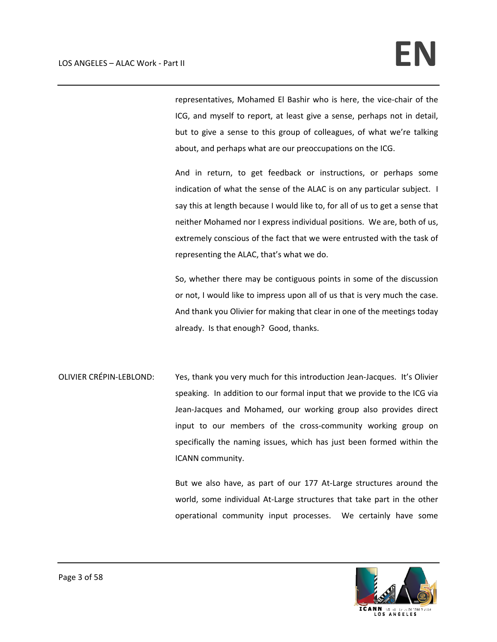representatives, Mohamed El Bashir who is here, the vice‐chair of the ICG, and myself to report, at least give a sense, perhaps not in detail, but to give a sense to this group of colleagues, of what we're talking about, and perhaps what are our preoccupations on the ICG.

And in return, to get feedback or instructions, or perhaps some indication of what the sense of the ALAC is on any particular subject. I say this at length because I would like to, for all of us to get a sense that neither Mohamed nor I express individual positions. We are, both of us, extremely conscious of the fact that we were entrusted with the task of representing the ALAC, that's what we do.

So, whether there may be contiguous points in some of the discussion or not, I would like to impress upon all of us that is very much the case. And thank you Olivier for making that clear in one of the meetings today already. Is that enough? Good, thanks.

OLIVIER CRÉPIN‐LEBLOND: Yes, thank you very much for this introduction Jean‐Jacques. It's Olivier speaking. In addition to our formal input that we provide to the ICG via Jean‐Jacques and Mohamed, our working group also provides direct input to our members of the cross‐community working group on specifically the naming issues, which has just been formed within the ICANN community.

> But we also have, as part of our 177 At‐Large structures around the world, some individual At-Large structures that take part in the other operational community input processes. We certainly have some

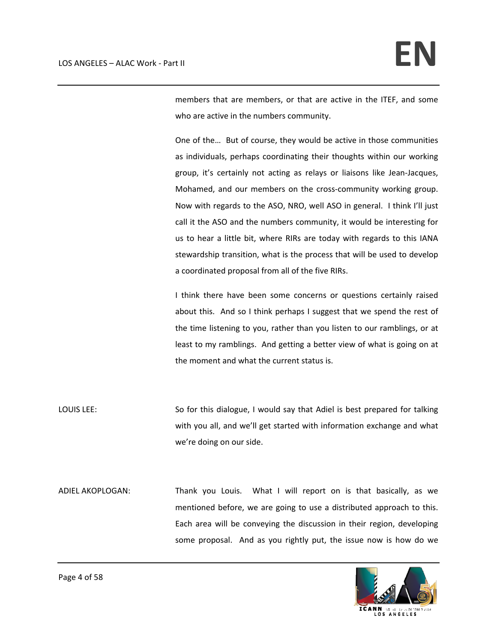members that are members, or that are active in the ITEF, and some who are active in the numbers community.

One of the… But of course, they would be active in those communities as individuals, perhaps coordinating their thoughts within our working group, it's certainly not acting as relays or liaisons like Jean‐Jacques, Mohamed, and our members on the cross‐community working group. Now with regards to the ASO, NRO, well ASO in general. I think I'll just call it the ASO and the numbers community, it would be interesting for us to hear a little bit, where RIRs are today with regards to this IANA stewardship transition, what is the process that will be used to develop a coordinated proposal from all of the five RIRs.

I think there have been some concerns or questions certainly raised about this. And so I think perhaps I suggest that we spend the rest of the time listening to you, rather than you listen to our ramblings, or at least to my ramblings. And getting a better view of what is going on at the moment and what the current status is.

LOUIS LEE: So for this dialogue, I would say that Adiel is best prepared for talking with you all, and we'll get started with information exchange and what we're doing on our side.

ADIEL AKOPLOGAN: Thank you Louis. What I will report on is that basically, as we mentioned before, we are going to use a distributed approach to this. Each area will be conveying the discussion in their region, developing some proposal. And as you rightly put, the issue now is how do we

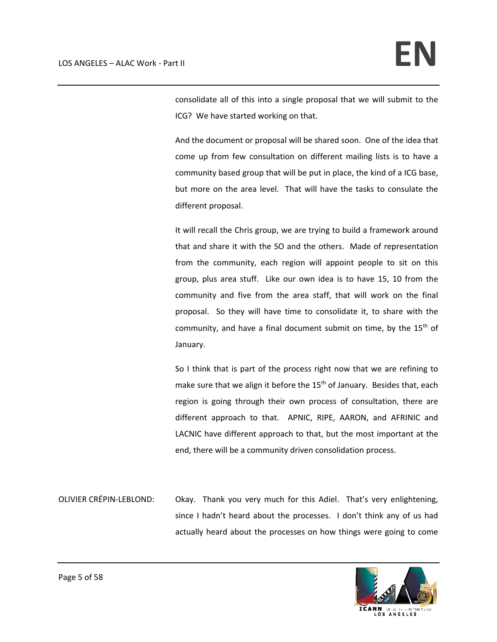consolidate all of this into a single proposal that we will submit to the ICG? We have started working on that.

And the document or proposal will be shared soon. One of the idea that come up from few consultation on different mailing lists is to have a community based group that will be put in place, the kind of a ICG base, but more on the area level. That will have the tasks to consulate the different proposal.

It will recall the Chris group, we are trying to build a framework around that and share it with the SO and the others. Made of representation from the community, each region will appoint people to sit on this group, plus area stuff. Like our own idea is to have 15, 10 from the community and five from the area staff, that will work on the final proposal. So they will have time to consolidate it, to share with the community, and have a final document submit on time, by the  $15<sup>th</sup>$  of January.

So I think that is part of the process right now that we are refining to make sure that we align it before the  $15<sup>th</sup>$  of January. Besides that, each region is going through their own process of consultation, there are different approach to that. APNIC, RIPE, AARON, and AFRINIC and LACNIC have different approach to that, but the most important at the end, there will be a community driven consolidation process.

OLIVIER CRÉPIN-LEBLOND: Okay. Thank you very much for this Adiel. That's very enlightening, since I hadn't heard about the processes. I don't think any of us had actually heard about the processes on how things were going to come

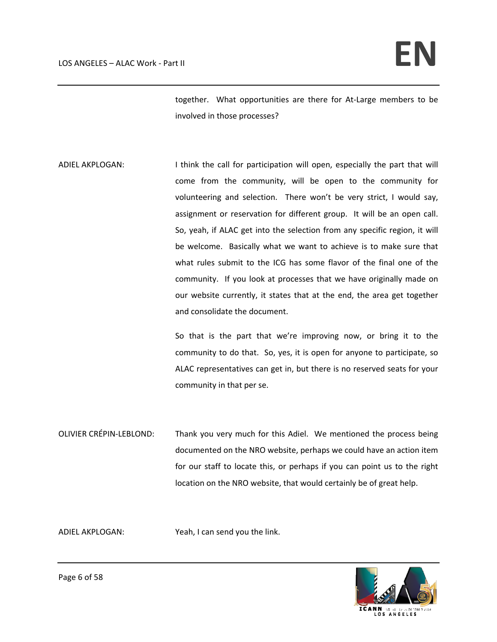together. What opportunities are there for At-Large members to be involved in those processes?

ADIEL AKPLOGAN: I think the call for participation will open, especially the part that will come from the community, will be open to the community for volunteering and selection. There won't be very strict, I would say, assignment or reservation for different group. It will be an open call. So, yeah, if ALAC get into the selection from any specific region, it will be welcome. Basically what we want to achieve is to make sure that what rules submit to the ICG has some flavor of the final one of the community. If you look at processes that we have originally made on our website currently, it states that at the end, the area get together and consolidate the document.

> So that is the part that we're improving now, or bring it to the community to do that. So, yes, it is open for anyone to participate, so ALAC representatives can get in, but there is no reserved seats for your community in that per se.

OLIVIER CRÉPIN‐LEBLOND: Thank you very much for this Adiel. We mentioned the process being documented on the NRO website, perhaps we could have an action item for our staff to locate this, or perhaps if you can point us to the right location on the NRO website, that would certainly be of great help.

ADIEL AKPLOGAN: Yeah, I can send you the link.

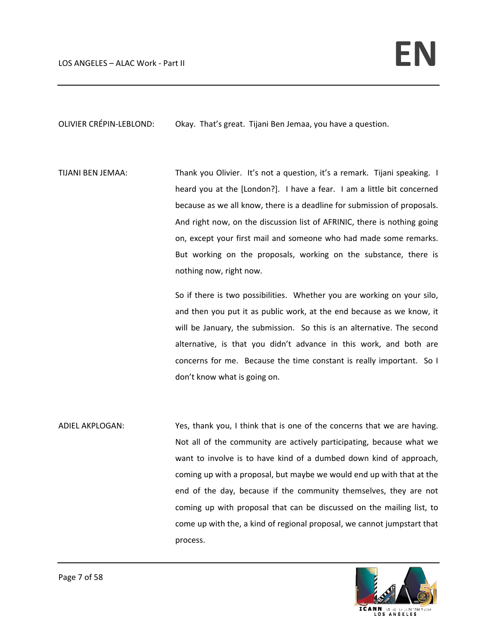OLIVIER CRÉPIN‐LEBLOND: Okay. That's great. Tijani Ben Jemaa, you have a question.

TIJANI BEN JEMAA: Thank you Olivier. It's not a question, it's a remark. Tijani speaking. I heard you at the [London?]. I have a fear. I am a little bit concerned because as we all know, there is a deadline for submission of proposals. And right now, on the discussion list of AFRINIC, there is nothing going on, except your first mail and someone who had made some remarks. But working on the proposals, working on the substance, there is nothing now, right now.

> So if there is two possibilities. Whether you are working on your silo, and then you put it as public work, at the end because as we know, it will be January, the submission. So this is an alternative. The second alternative, is that you didn't advance in this work, and both are concerns for me. Because the time constant is really important. So I don't know what is going on.

ADIEL AKPLOGAN: Yes, thank you, I think that is one of the concerns that we are having. Not all of the community are actively participating, because what we want to involve is to have kind of a dumbed down kind of approach, coming up with a proposal, but maybe we would end up with that at the end of the day, because if the community themselves, they are not coming up with proposal that can be discussed on the mailing list, to come up with the, a kind of regional proposal, we cannot jumpstart that process.

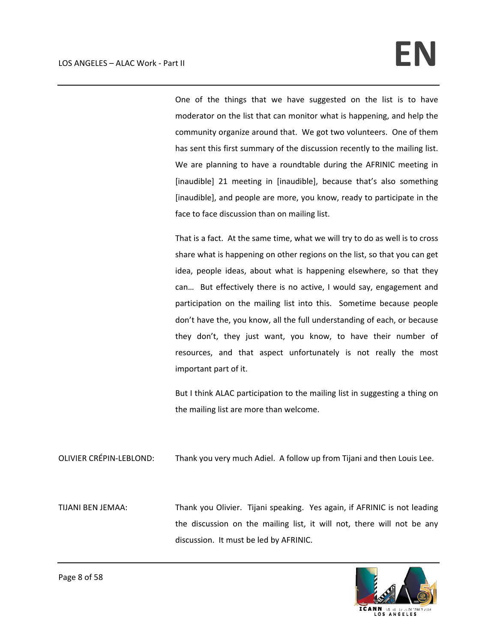One of the things that we have suggested on the list is to have moderator on the list that can monitor what is happening, and help the community organize around that. We got two volunteers. One of them has sent this first summary of the discussion recently to the mailing list. We are planning to have a roundtable during the AFRINIC meeting in [inaudible] 21 meeting in [inaudible], because that's also something [inaudible], and people are more, you know, ready to participate in the face to face discussion than on mailing list.

That is a fact. At the same time, what we will try to do as well is to cross share what is happening on other regions on the list, so that you can get idea, people ideas, about what is happening elsewhere, so that they can... But effectively there is no active, I would say, engagement and participation on the mailing list into this. Sometime because people don't have the, you know, all the full understanding of each, or because they don't, they just want, you know, to have their number of resources, and that aspect unfortunately is not really the most important part of it.

But I think ALAC participation to the mailing list in suggesting a thing on the mailing list are more than welcome.

OLIVIER CRÉPIN‐LEBLOND: Thank you very much Adiel. A follow up from Tijani and then Louis Lee.

TIJANI BEN JEMAA: Thank you Olivier. Tijani speaking. Yes again, if AFRINIC is not leading the discussion on the mailing list, it will not, there will not be any discussion. It must be led by AFRINIC.

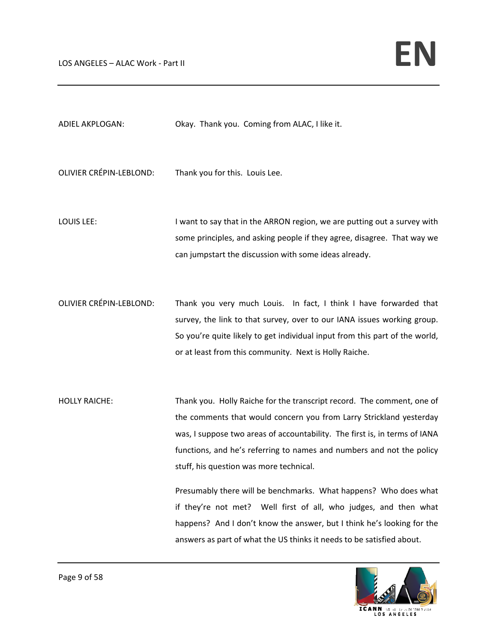| ADIEL AKPLOGAN:                | Okay. Thank you. Coming from ALAC, I like it.                            |
|--------------------------------|--------------------------------------------------------------------------|
| <b>OLIVIER CRÉPIN-LEBLOND:</b> | Thank you for this. Louis Lee.                                           |
| LOUIS LEE:                     | I want to say that in the ARRON region, we are putting out a survey with |
|                                | some principles, and asking people if they agree, disagree. That way we  |
|                                | can jumpstart the discussion with some ideas already.                    |
| <b>OLIVIER CRÉPIN-LEBLOND:</b> | Thank you very much Louis. In fact, I think I have forwarded that        |
|                                | survey, the link to that survey, over to our IANA issues working group.  |

HOLLY RAICHE: Thank you. Holly Raiche for the transcript record. The comment, one of the comments that would concern you from Larry Strickland yesterday was, I suppose two areas of accountability. The first is, in terms of IANA functions, and he's referring to names and numbers and not the policy stuff, his question was more technical.

> Presumably there will be benchmarks. What happens? Who does what if they're not met? Well first of all, who judges, and then what happens? And I don't know the answer, but I think he's looking for the answers as part of what the US thinks it needs to be satisfied about.

> So you're quite likely to get individual input from this part of the world,

or at least from this community. Next is Holly Raiche.

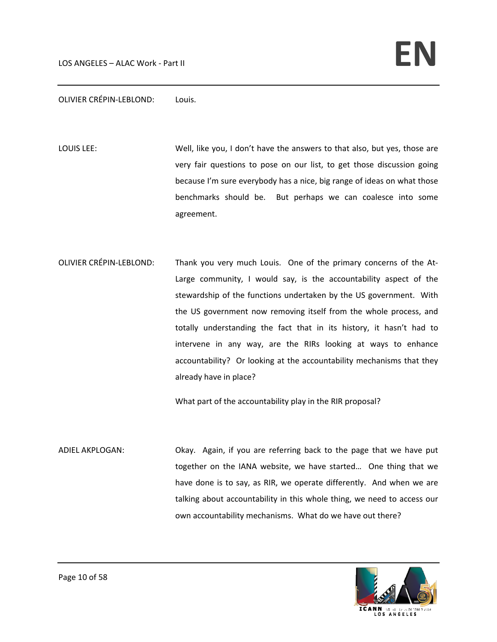#### OLIVIER CRÉPIN‐LEBLOND: Louis.

LOUIS LEE: Well, like you, I don't have the answers to that also, but yes, those are very fair questions to pose on our list, to get those discussion going because I'm sure everybody has a nice, big range of ideas on what those benchmarks should be. But perhaps we can coalesce into some agreement.

OLIVIER CRÉPIN‐LEBLOND: Thank you very much Louis. One of the primary concerns of the At‐ Large community, I would say, is the accountability aspect of the stewardship of the functions undertaken by the US government. With the US government now removing itself from the whole process, and totally understanding the fact that in its history, it hasn't had to intervene in any way, are the RIRs looking at ways to enhance accountability? Or looking at the accountability mechanisms that they already have in place?

What part of the accountability play in the RIR proposal?

ADIEL AKPLOGAN: Okay. Again, if you are referring back to the page that we have put together on the IANA website, we have started… One thing that we have done is to say, as RIR, we operate differently. And when we are talking about accountability in this whole thing, we need to access our own accountability mechanisms. What do we have out there?

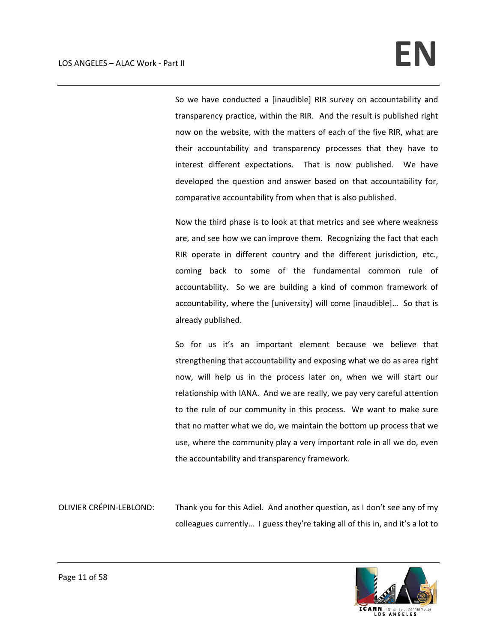So we have conducted a [inaudible] RIR survey on accountability and transparency practice, within the RIR. And the result is published right now on the website, with the matters of each of the five RIR, what are their accountability and transparency processes that they have to interest different expectations. That is now published. We have developed the question and answer based on that accountability for, comparative accountability from when that is also published.

Now the third phase is to look at that metrics and see where weakness are, and see how we can improve them. Recognizing the fact that each RIR operate in different country and the different jurisdiction, etc., coming back to some of the fundamental common rule of accountability. So we are building a kind of common framework of accountability, where the [university] will come [inaudible]… So that is already published.

So for us it's an important element because we believe that strengthening that accountability and exposing what we do as area right now, will help us in the process later on, when we will start our relationship with IANA. And we are really, we pay very careful attention to the rule of our community in this process. We want to make sure that no matter what we do, we maintain the bottom up process that we use, where the community play a very important role in all we do, even the accountability and transparency framework.

OLIVIER CRÉPIN‐LEBLOND: Thank you for this Adiel. And another question, as I don't see any of my colleagues currently… I guess they're taking all of this in, and it's a lot to

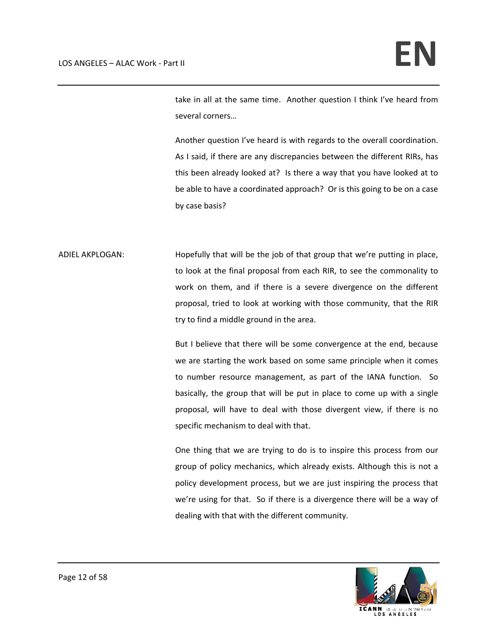take in all at the same time. Another question I think I've heard from several corners…

Another question I've heard is with regards to the overall coordination. As I said, if there are any discrepancies between the different RIRs, has this been already looked at? Is there a way that you have looked at to be able to have a coordinated approach? Or is this going to be on a case by case basis?

ADIEL AKPLOGAN: Hopefully that will be the job of that group that we're putting in place, to look at the final proposal from each RIR, to see the commonality to work on them, and if there is a severe divergence on the different proposal, tried to look at working with those community, that the RIR try to find a middle ground in the area.

> But I believe that there will be some convergence at the end, because we are starting the work based on some same principle when it comes to number resource management, as part of the IANA function. So basically, the group that will be put in place to come up with a single proposal, will have to deal with those divergent view, if there is no specific mechanism to deal with that.

> One thing that we are trying to do is to inspire this process from our group of policy mechanics, which already exists. Although this is not a policy development process, but we are just inspiring the process that we're using for that. So if there is a divergence there will be a way of dealing with that with the different community.

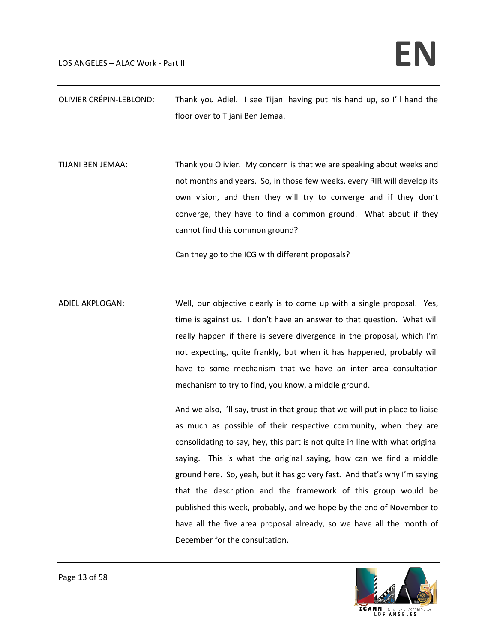OLIVIER CRÉPIN‐LEBLOND: Thank you Adiel. I see Tijani having put his hand up, so I'll hand the floor over to Tijani Ben Jemaa.

TIJANI BEN JEMAA: Thank you Olivier. My concern is that we are speaking about weeks and not months and years. So, in those few weeks, every RIR will develop its own vision, and then they will try to converge and if they don't converge, they have to find a common ground. What about if they cannot find this common ground?

Can they go to the ICG with different proposals?

ADIEL AKPLOGAN: Well, our objective clearly is to come up with a single proposal. Yes, time is against us. I don't have an answer to that question. What will really happen if there is severe divergence in the proposal, which I'm not expecting, quite frankly, but when it has happened, probably will have to some mechanism that we have an inter area consultation mechanism to try to find, you know, a middle ground.

> And we also, I'll say, trust in that group that we will put in place to liaise as much as possible of their respective community, when they are consolidating to say, hey, this part is not quite in line with what original saying. This is what the original saying, how can we find a middle ground here. So, yeah, but it has go very fast. And that's why I'm saying that the description and the framework of this group would be published this week, probably, and we hope by the end of November to have all the five area proposal already, so we have all the month of December for the consultation.

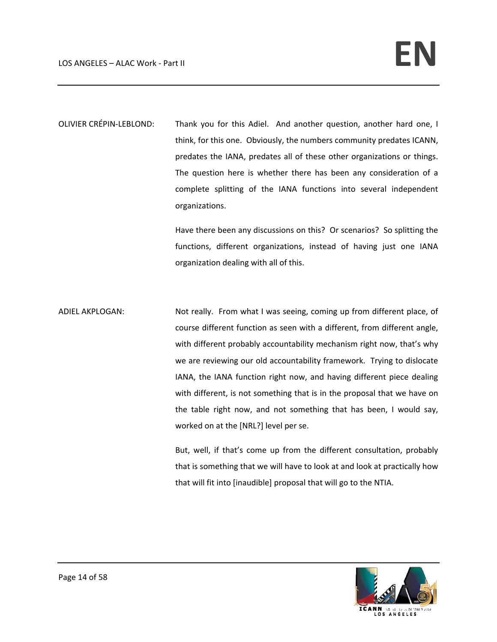OLIVIER CRÉPIN‐LEBLOND: Thank you for this Adiel. And another question, another hard one, I think, for this one. Obviously, the numbers community predates ICANN, predates the IANA, predates all of these other organizations or things. The question here is whether there has been any consideration of a complete splitting of the IANA functions into several independent organizations.

> Have there been any discussions on this? Or scenarios? So splitting the functions, different organizations, instead of having just one IANA organization dealing with all of this.

ADIEL AKPLOGAN: Not really. From what I was seeing, coming up from different place, of course different function as seen with a different, from different angle, with different probably accountability mechanism right now, that's why we are reviewing our old accountability framework. Trying to dislocate IANA, the IANA function right now, and having different piece dealing with different, is not something that is in the proposal that we have on the table right now, and not something that has been, I would say, worked on at the [NRL?] level per se.

> But, well, if that's come up from the different consultation, probably that is something that we will have to look at and look at practically how that will fit into [inaudible] proposal that will go to the NTIA.

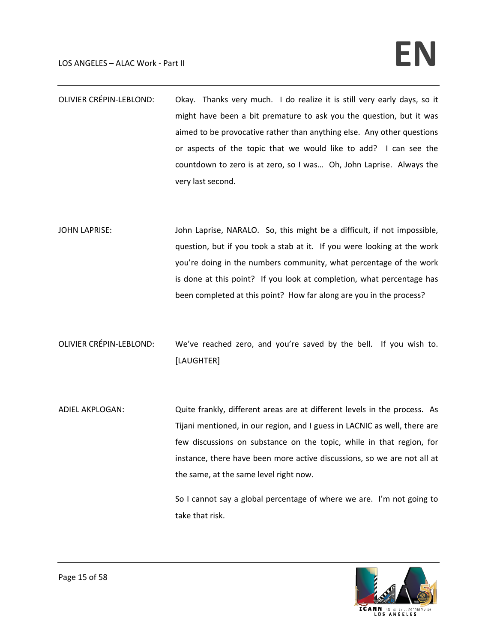# LOS ANGELES – ALAC Work - Part II **and the set of the set of the set of the set of the set of the set of the set of the set of the set of the set of the set of**  $\mathbb{R}$

- OLIVIER CRÉPIN-LEBLOND: Okay. Thanks very much. I do realize it is still very early days, so it might have been a bit premature to ask you the question, but it was aimed to be provocative rather than anything else. Any other questions or aspects of the topic that we would like to add? I can see the countdown to zero is at zero, so I was… Oh, John Laprise. Always the very last second.
- JOHN LAPRISE: John Laprise, NARALO. So, this might be a difficult, if not impossible, question, but if you took a stab at it. If you were looking at the work you're doing in the numbers community, what percentage of the work is done at this point? If you look at completion, what percentage has been completed at this point? How far along are you in the process?
- OLIVIER CRÉPIN‐LEBLOND: We've reached zero, and you're saved by the bell. If you wish to. [LAUGHTER]
- ADIEL AKPLOGAN: Quite frankly, different areas are at different levels in the process. As Tijani mentioned, in our region, and I guess in LACNIC as well, there are few discussions on substance on the topic, while in that region, for instance, there have been more active discussions, so we are not all at the same, at the same level right now.

So I cannot say a global percentage of where we are. I'm not going to take that risk.

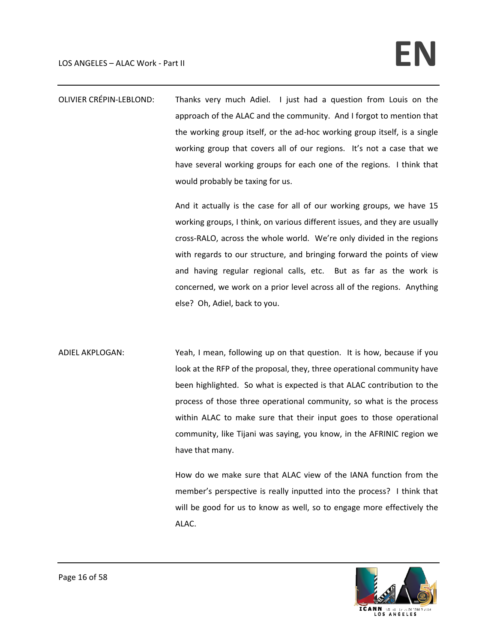OLIVIER CRÉPIN‐LEBLOND: Thanks very much Adiel. I just had a question from Louis on the approach of the ALAC and the community. And I forgot to mention that the working group itself, or the ad‐hoc working group itself, is a single working group that covers all of our regions. It's not a case that we have several working groups for each one of the regions. I think that would probably be taxing for us.

> And it actually is the case for all of our working groups, we have 15 working groups, I think, on various different issues, and they are usually cross‐RALO, across the whole world. We're only divided in the regions with regards to our structure, and bringing forward the points of view and having regular regional calls, etc. But as far as the work is concerned, we work on a prior level across all of the regions. Anything else? Oh, Adiel, back to you.

ADIEL AKPLOGAN: Yeah, I mean, following up on that question. It is how, because if you look at the RFP of the proposal, they, three operational community have been highlighted. So what is expected is that ALAC contribution to the process of those three operational community, so what is the process within ALAC to make sure that their input goes to those operational community, like Tijani was saying, you know, in the AFRINIC region we have that many.

> How do we make sure that ALAC view of the IANA function from the member's perspective is really inputted into the process? I think that will be good for us to know as well, so to engage more effectively the ALAC.

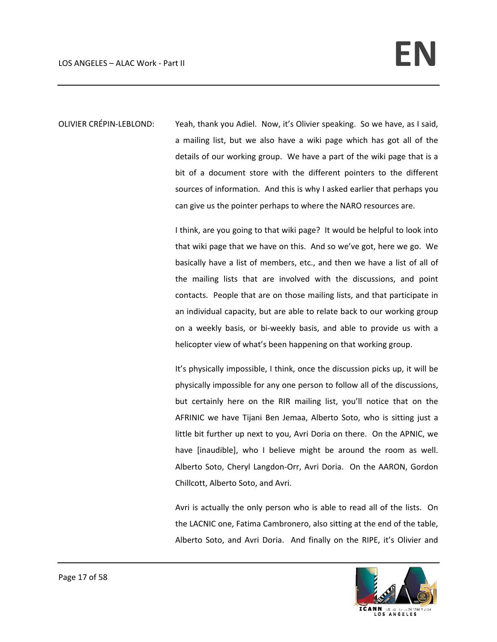OLIVIER CRÉPIN‐LEBLOND: Yeah, thank you Adiel. Now, it's Olivier speaking. So we have, as I said, a mailing list, but we also have a wiki page which has got all of the details of our working group. We have a part of the wiki page that is a bit of a document store with the different pointers to the different sources of information. And this is why I asked earlier that perhaps you can give us the pointer perhaps to where the NARO resources are.

> I think, are you going to that wiki page? It would be helpful to look into that wiki page that we have on this. And so we've got, here we go. We basically have a list of members, etc., and then we have a list of all of the mailing lists that are involved with the discussions, and point contacts. People that are on those mailing lists, and that participate in an individual capacity, but are able to relate back to our working group on a weekly basis, or bi‐weekly basis, and able to provide us with a helicopter view of what's been happening on that working group.

> It's physically impossible, I think, once the discussion picks up, it will be physically impossible for any one person to follow all of the discussions, but certainly here on the RIR mailing list, you'll notice that on the AFRINIC we have Tijani Ben Jemaa, Alberto Soto, who is sitting just a little bit further up next to you, Avri Doria on there. On the APNIC, we have [inaudible], who I believe might be around the room as well. Alberto Soto, Cheryl Langdon‐Orr, Avri Doria. On the AARON, Gordon Chillcott, Alberto Soto, and Avri.

> Avri is actually the only person who is able to read all of the lists. On the LACNIC one, Fatima Cambronero, also sitting at the end of the table, Alberto Soto, and Avri Doria. And finally on the RIPE, it's Olivier and

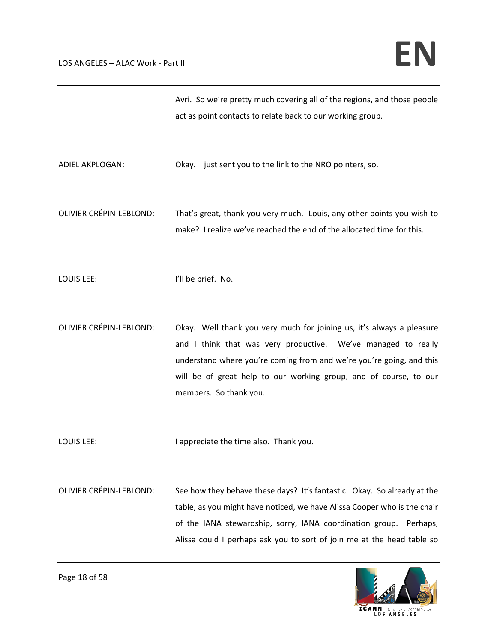|                                | Avri. So we're pretty much covering all of the regions, and those people<br>act as point contacts to relate back to our working group.                                                                                                                                                                        |
|--------------------------------|---------------------------------------------------------------------------------------------------------------------------------------------------------------------------------------------------------------------------------------------------------------------------------------------------------------|
| ADIEL AKPLOGAN:                | Okay. I just sent you to the link to the NRO pointers, so.                                                                                                                                                                                                                                                    |
| <b>OLIVIER CRÉPIN-LEBLOND:</b> | That's great, thank you very much. Louis, any other points you wish to<br>make? I realize we've reached the end of the allocated time for this.                                                                                                                                                               |
| LOUIS LEE:                     | I'll be brief. No.                                                                                                                                                                                                                                                                                            |
| <b>OLIVIER CRÉPIN-LEBLOND:</b> | Okay. Well thank you very much for joining us, it's always a pleasure<br>and I think that was very productive. We've managed to really<br>understand where you're coming from and we're you're going, and this<br>will be of great help to our working group, and of course, to our<br>members. So thank you. |
| LOUIS LEE:                     | I appreciate the time also. Thank you.                                                                                                                                                                                                                                                                        |
| <b>OLIVIER CRÉPIN-LEBLOND:</b> | See how they behave these days? It's fantastic. Okay. So already at the<br>table, as you might have noticed, we have Alissa Cooper who is the chair<br>of the IANA stewardship, sorry, IANA coordination group. Perhaps,<br>Alissa could I perhaps ask you to sort of join me at the head table so            |

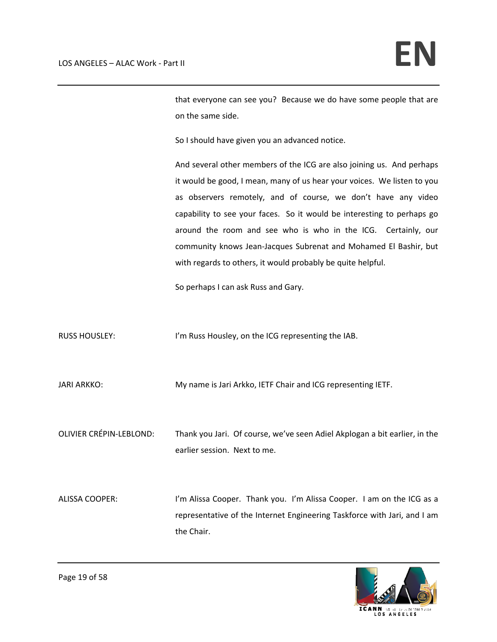that everyone can see you? Because we do have some people that are on the same side.

So I should have given you an advanced notice.

And several other members of the ICG are also joining us. And perhaps it would be good, I mean, many of us hear your voices. We listen to you as observers remotely, and of course, we don't have any video capability to see your faces. So it would be interesting to perhaps go around the room and see who is who in the ICG. Certainly, our community knows Jean‐Jacques Subrenat and Mohamed El Bashir, but with regards to others, it would probably be quite helpful.

So perhaps I can ask Russ and Gary.

RUSS HOUSLEY: I'm Russ Housley, on the ICG representing the IAB.

JARI ARKKO: My name is Jari Arkko, IETF Chair and ICG representing IETF.

OLIVIER CRÉPIN‐LEBLOND: Thank you Jari. Of course, we've seen Adiel Akplogan a bit earlier, in the earlier session. Next to me.

ALISSA COOPER: I'm Alissa Cooper. Thank you. I'm Alissa Cooper. I am on the ICG as a representative of the Internet Engineering Taskforce with Jari, and I am the Chair.

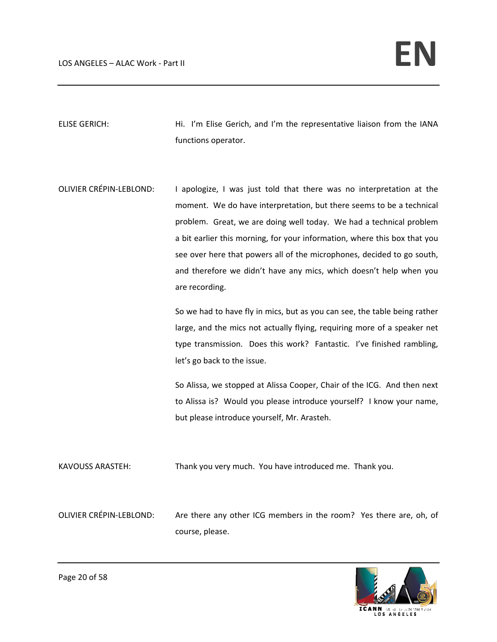ELISE GERICH: Hi. I'm Elise Gerich, and I'm the representative liaison from the IANA functions operator.

OLIVIER CRÉPIN‐LEBLOND: I apologize, I was just told that there was no interpretation at the moment. We do have interpretation, but there seems to be a technical problem. Great, we are doing well today. We had a technical problem a bit earlier this morning, for your information, where this box that you see over here that powers all of the microphones, decided to go south, and therefore we didn't have any mics, which doesn't help when you are recording.

> So we had to have fly in mics, but as you can see, the table being rather large, and the mics not actually flying, requiring more of a speaker net type transmission. Does this work? Fantastic. I've finished rambling, let's go back to the issue.

> So Alissa, we stopped at Alissa Cooper, Chair of the ICG. And then next to Alissa is? Would you please introduce yourself? I know your name, but please introduce yourself, Mr. Arasteh.

KAVOUSS ARASTEH: Thank you very much. You have introduced me. Thank you.

OLIVIER CRÉPIN‐LEBLOND: Are there any other ICG members in the room? Yes there are, oh, of course, please.

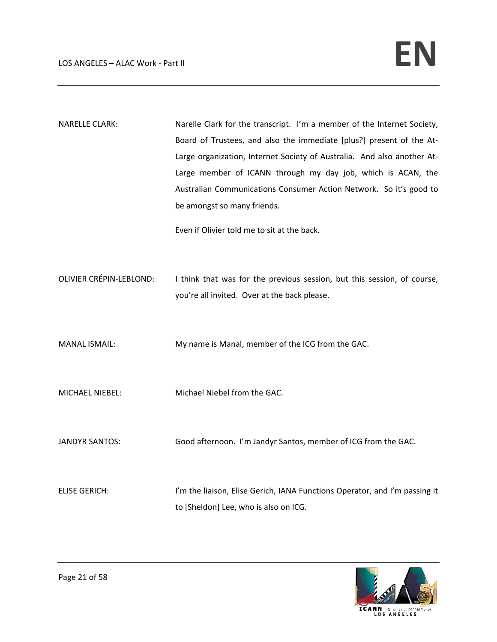NARELLE CLARK: Narelle Clark for the transcript. I'm a member of the Internet Society, Board of Trustees, and also the immediate [plus?] present of the At‐ Large organization, Internet Society of Australia. And also another At‐ Large member of ICANN through my day job, which is ACAN, the Australian Communications Consumer Action Network. So it's good to be amongst so many friends.

Even if Olivier told me to sit at the back.

OLIVIER CRÉPIN-LEBLOND: I think that was for the previous session, but this session, of course, you're all invited. Over at the back please.

MANAL ISMAIL: My name is Manal, member of the ICG from the GAC.

MICHAEL NIEBEL: Michael Niebel from the GAC.

JANDYR SANTOS: Good afternoon. I'm Jandyr Santos, member of ICG from the GAC.

ELISE GERICH: I'm the liaison, Elise Gerich, IANA Functions Operator, and I'm passing it to [Sheldon] Lee, who is also on ICG.

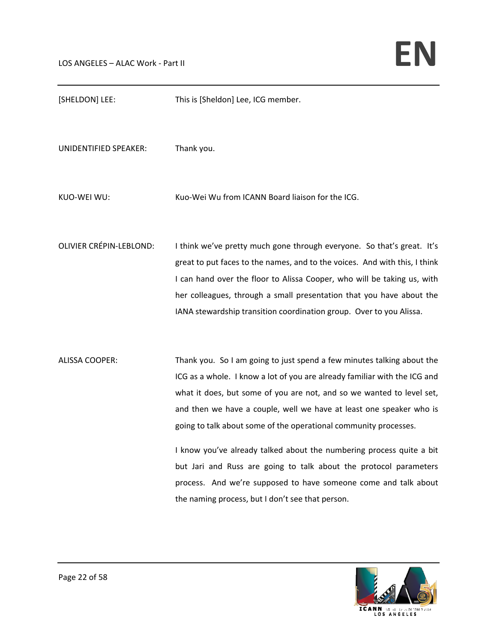| [SHELDON] LEE:                 | This is [Sheldon] Lee, ICG member.                                                                                                                                                                                                                                                                                                                                                                                                                                                                                                                                                                                                          |
|--------------------------------|---------------------------------------------------------------------------------------------------------------------------------------------------------------------------------------------------------------------------------------------------------------------------------------------------------------------------------------------------------------------------------------------------------------------------------------------------------------------------------------------------------------------------------------------------------------------------------------------------------------------------------------------|
| UNIDENTIFIED SPEAKER:          | Thank you.                                                                                                                                                                                                                                                                                                                                                                                                                                                                                                                                                                                                                                  |
| KUO-WEI WU:                    | Kuo-Wei Wu from ICANN Board liaison for the ICG.                                                                                                                                                                                                                                                                                                                                                                                                                                                                                                                                                                                            |
| <b>OLIVIER CRÉPIN-LEBLOND:</b> | I think we've pretty much gone through everyone. So that's great. It's<br>great to put faces to the names, and to the voices. And with this, I think<br>I can hand over the floor to Alissa Cooper, who will be taking us, with<br>her colleagues, through a small presentation that you have about the<br>IANA stewardship transition coordination group. Over to you Alissa.                                                                                                                                                                                                                                                              |
| <b>ALISSA COOPER:</b>          | Thank you. So I am going to just spend a few minutes talking about the<br>ICG as a whole. I know a lot of you are already familiar with the ICG and<br>what it does, but some of you are not, and so we wanted to level set,<br>and then we have a couple, well we have at least one speaker who is<br>going to talk about some of the operational community processes.<br>I know you've already talked about the numbering process quite a bit<br>but Jari and Russ are going to talk about the protocol parameters<br>process. And we're supposed to have someone come and talk about<br>the naming process, but I don't see that person. |

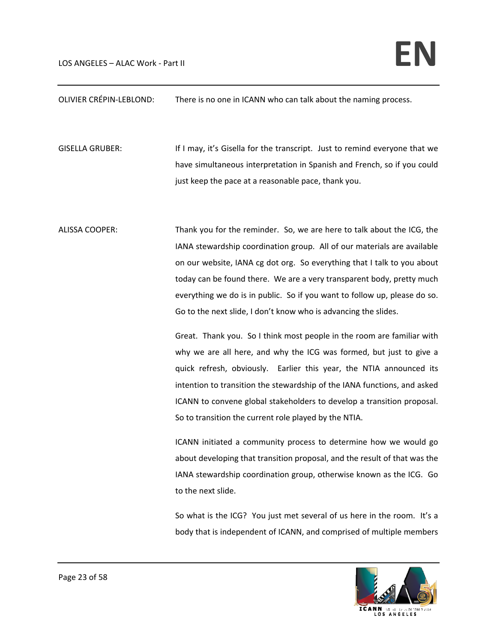OLIVIER CRÉPIN‐LEBLOND: There is no one in ICANN who can talk about the naming process.

GISELLA GRUBER: If I may, it's Gisella for the transcript. Just to remind everyone that we have simultaneous interpretation in Spanish and French, so if you could just keep the pace at a reasonable pace, thank you.

ALISSA COOPER: Thank you for the reminder. So, we are here to talk about the ICG, the IANA stewardship coordination group. All of our materials are available on our website, IANA cg dot org. So everything that I talk to you about today can be found there. We are a very transparent body, pretty much everything we do is in public. So if you want to follow up, please do so. Go to the next slide, I don't know who is advancing the slides.

> Great. Thank you. So I think most people in the room are familiar with why we are all here, and why the ICG was formed, but just to give a quick refresh, obviously. Earlier this year, the NTIA announced its intention to transition the stewardship of the IANA functions, and asked ICANN to convene global stakeholders to develop a transition proposal. So to transition the current role played by the NTIA.

> ICANN initiated a community process to determine how we would go about developing that transition proposal, and the result of that was the IANA stewardship coordination group, otherwise known as the ICG. Go to the next slide.

> So what is the ICG? You just met several of us here in the room. It's a body that is independent of ICANN, and comprised of multiple members

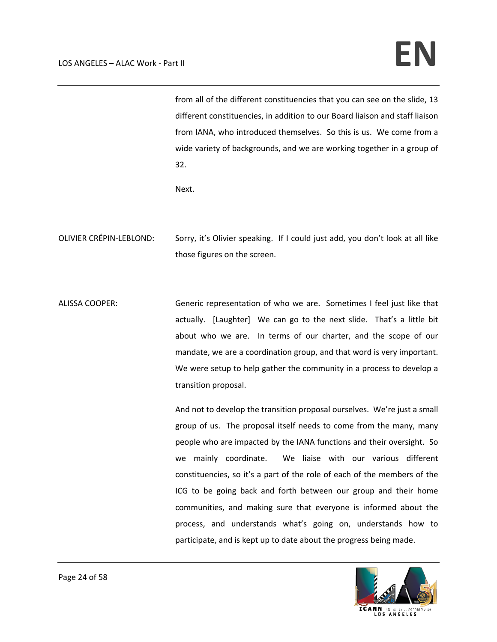## LOS ANGELES – ALAC Work - Part II **and the set of the set of the set of the set of the set of the set of the set of the set of the set of the set of the set of**  $\mathbb{R}$

from all of the different constituencies that you can see on the slide, 13 different constituencies, in addition to our Board liaison and staff liaison from IANA, who introduced themselves. So this is us. We come from a wide variety of backgrounds, and we are working together in a group of 32.

Next.

- OLIVIER CRÉPIN‐LEBLOND: Sorry, it's Olivier speaking. If I could just add, you don't look at all like those figures on the screen.
- ALISSA COOPER: Generic representation of who we are. Sometimes I feel just like that actually. [Laughter] We can go to the next slide. That's a little bit about who we are. In terms of our charter, and the scope of our mandate, we are a coordination group, and that word is very important. We were setup to help gather the community in a process to develop a transition proposal.

And not to develop the transition proposal ourselves. We're just a small group of us. The proposal itself needs to come from the many, many people who are impacted by the IANA functions and their oversight. So we mainly coordinate. We liaise with our various different constituencies, so it's a part of the role of each of the members of the ICG to be going back and forth between our group and their home communities, and making sure that everyone is informed about the process, and understands what's going on, understands how to participate, and is kept up to date about the progress being made.

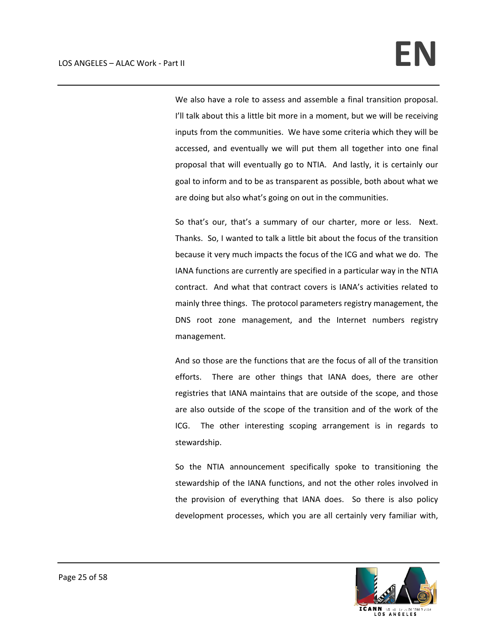We also have a role to assess and assemble a final transition proposal. I'll talk about this a little bit more in a moment, but we will be receiving inputs from the communities. We have some criteria which they will be accessed, and eventually we will put them all together into one final proposal that will eventually go to NTIA. And lastly, it is certainly our goal to inform and to be as transparent as possible, both about what we are doing but also what's going on out in the communities.

So that's our, that's a summary of our charter, more or less. Next. Thanks. So, I wanted to talk a little bit about the focus of the transition because it very much impacts the focus of the ICG and what we do. The IANA functions are currently are specified in a particular way in the NTIA contract. And what that contract covers is IANA's activities related to mainly three things. The protocol parameters registry management, the DNS root zone management, and the Internet numbers registry management.

And so those are the functions that are the focus of all of the transition efforts. There are other things that IANA does, there are other registries that IANA maintains that are outside of the scope, and those are also outside of the scope of the transition and of the work of the ICG. The other interesting scoping arrangement is in regards to stewardship.

So the NTIA announcement specifically spoke to transitioning the stewardship of the IANA functions, and not the other roles involved in the provision of everything that IANA does. So there is also policy development processes, which you are all certainly very familiar with,

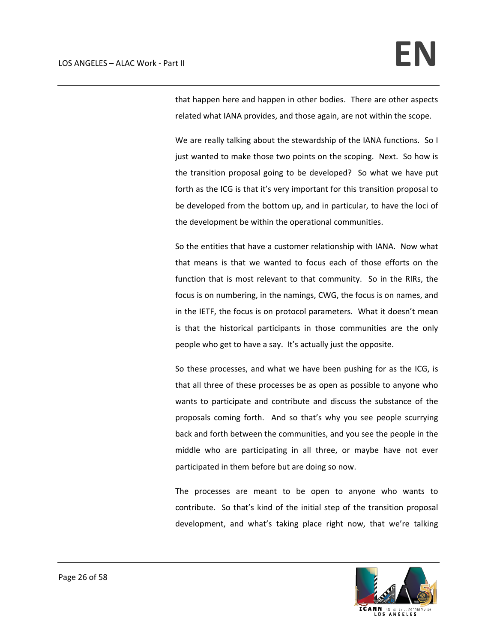that happen here and happen in other bodies. There are other aspects related what IANA provides, and those again, are not within the scope.

We are really talking about the stewardship of the IANA functions. So I just wanted to make those two points on the scoping. Next. So how is the transition proposal going to be developed? So what we have put forth as the ICG is that it's very important for this transition proposal to be developed from the bottom up, and in particular, to have the loci of the development be within the operational communities.

So the entities that have a customer relationship with IANA. Now what that means is that we wanted to focus each of those efforts on the function that is most relevant to that community. So in the RIRs, the focus is on numbering, in the namings, CWG, the focus is on names, and in the IETF, the focus is on protocol parameters. What it doesn't mean is that the historical participants in those communities are the only people who get to have a say. It's actually just the opposite.

So these processes, and what we have been pushing for as the ICG, is that all three of these processes be as open as possible to anyone who wants to participate and contribute and discuss the substance of the proposals coming forth. And so that's why you see people scurrying back and forth between the communities, and you see the people in the middle who are participating in all three, or maybe have not ever participated in them before but are doing so now.

The processes are meant to be open to anyone who wants to contribute. So that's kind of the initial step of the transition proposal development, and what's taking place right now, that we're talking

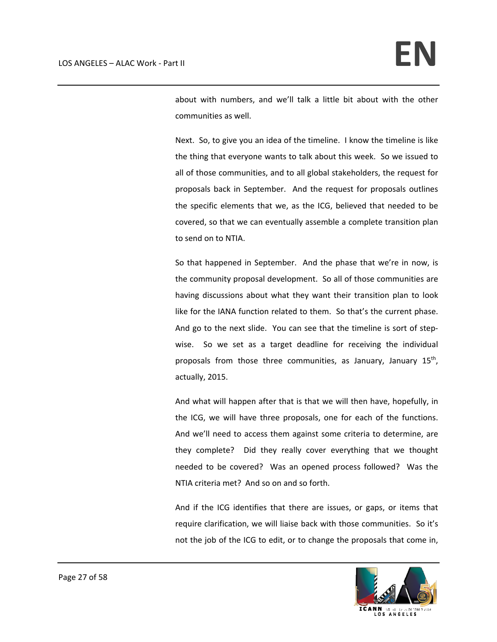about with numbers, and we'll talk a little bit about with the other communities as well.

Next. So, to give you an idea of the timeline. I know the timeline is like the thing that everyone wants to talk about this week. So we issued to all of those communities, and to all global stakeholders, the request for proposals back in September. And the request for proposals outlines the specific elements that we, as the ICG, believed that needed to be covered, so that we can eventually assemble a complete transition plan to send on to NTIA.

So that happened in September. And the phase that we're in now, is the community proposal development. So all of those communities are having discussions about what they want their transition plan to look like for the IANA function related to them. So that's the current phase. And go to the next slide. You can see that the timeline is sort of step‐ wise. So we set as a target deadline for receiving the individual proposals from those three communities, as January, January  $15<sup>th</sup>$ , actually, 2015.

And what will happen after that is that we will then have, hopefully, in the ICG, we will have three proposals, one for each of the functions. And we'll need to access them against some criteria to determine, are they complete? Did they really cover everything that we thought needed to be covered? Was an opened process followed? Was the NTIA criteria met? And so on and so forth.

And if the ICG identifies that there are issues, or gaps, or items that require clarification, we will liaise back with those communities. So it's not the job of the ICG to edit, or to change the proposals that come in,

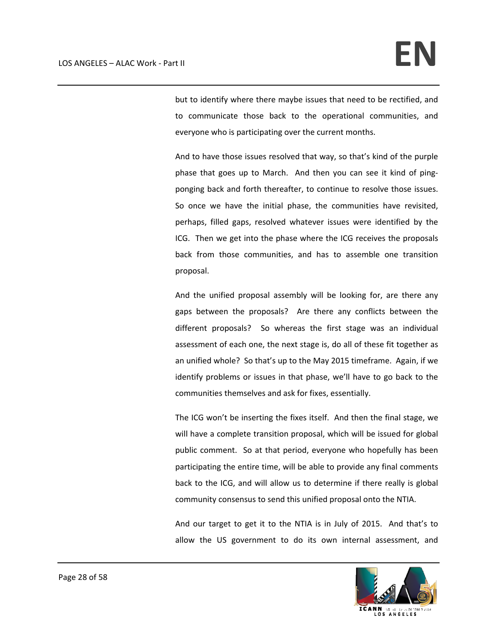but to identify where there maybe issues that need to be rectified, and to communicate those back to the operational communities, and everyone who is participating over the current months.

And to have those issues resolved that way, so that's kind of the purple phase that goes up to March. And then you can see it kind of pingponging back and forth thereafter, to continue to resolve those issues. So once we have the initial phase, the communities have revisited, perhaps, filled gaps, resolved whatever issues were identified by the ICG. Then we get into the phase where the ICG receives the proposals back from those communities, and has to assemble one transition proposal.

And the unified proposal assembly will be looking for, are there any gaps between the proposals? Are there any conflicts between the different proposals? So whereas the first stage was an individual assessment of each one, the next stage is, do all of these fit together as an unified whole? So that's up to the May 2015 timeframe. Again, if we identify problems or issues in that phase, we'll have to go back to the communities themselves and ask for fixes, essentially.

The ICG won't be inserting the fixes itself. And then the final stage, we will have a complete transition proposal, which will be issued for global public comment. So at that period, everyone who hopefully has been participating the entire time, will be able to provide any final comments back to the ICG, and will allow us to determine if there really is global community consensus to send this unified proposal onto the NTIA.

And our target to get it to the NTIA is in July of 2015. And that's to allow the US government to do its own internal assessment, and

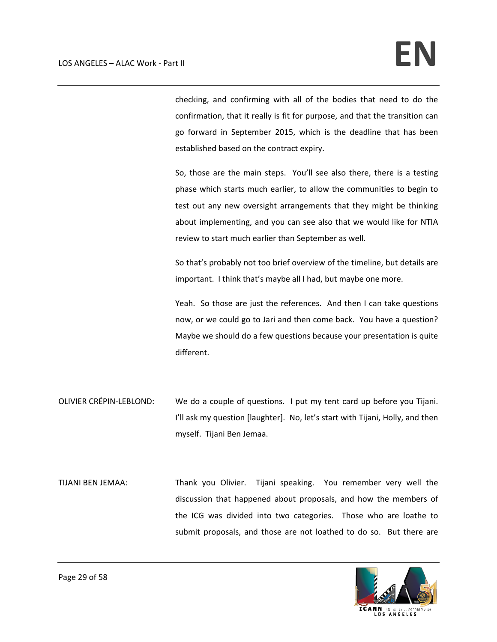checking, and confirming with all of the bodies that need to do the confirmation, that it really is fit for purpose, and that the transition can go forward in September 2015, which is the deadline that has been established based on the contract expiry.

So, those are the main steps. You'll see also there, there is a testing phase which starts much earlier, to allow the communities to begin to test out any new oversight arrangements that they might be thinking about implementing, and you can see also that we would like for NTIA review to start much earlier than September as well.

So that's probably not too brief overview of the timeline, but details are important. I think that's maybe all I had, but maybe one more.

Yeah. So those are just the references. And then I can take questions now, or we could go to Jari and then come back. You have a question? Maybe we should do a few questions because your presentation is quite different.

- OLIVIER CRÉPIN‐LEBLOND: We do a couple of questions. I put my tent card up before you Tijani. I'll ask my question [laughter]. No, let's start with Tijani, Holly, and then myself. Tijani Ben Jemaa.
- TIJANI BEN JEMAA: Thank you Olivier. Tijani speaking. You remember very well the discussion that happened about proposals, and how the members of the ICG was divided into two categories. Those who are loathe to submit proposals, and those are not loathed to do so. But there are

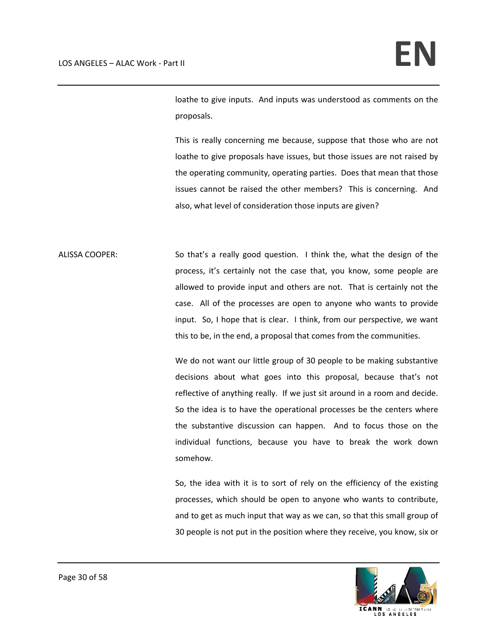loathe to give inputs. And inputs was understood as comments on the proposals.

This is really concerning me because, suppose that those who are not loathe to give proposals have issues, but those issues are not raised by the operating community, operating parties. Does that mean that those issues cannot be raised the other members? This is concerning. And also, what level of consideration those inputs are given?

ALISSA COOPER: So that's a really good question. I think the, what the design of the process, it's certainly not the case that, you know, some people are allowed to provide input and others are not. That is certainly not the case. All of the processes are open to anyone who wants to provide input. So, I hope that is clear. I think, from our perspective, we want this to be, in the end, a proposal that comes from the communities.

> We do not want our little group of 30 people to be making substantive decisions about what goes into this proposal, because that's not reflective of anything really. If we just sit around in a room and decide. So the idea is to have the operational processes be the centers where the substantive discussion can happen. And to focus those on the individual functions, because you have to break the work down somehow.

> So, the idea with it is to sort of rely on the efficiency of the existing processes, which should be open to anyone who wants to contribute, and to get as much input that way as we can, so that this small group of 30 people is not put in the position where they receive, you know, six or

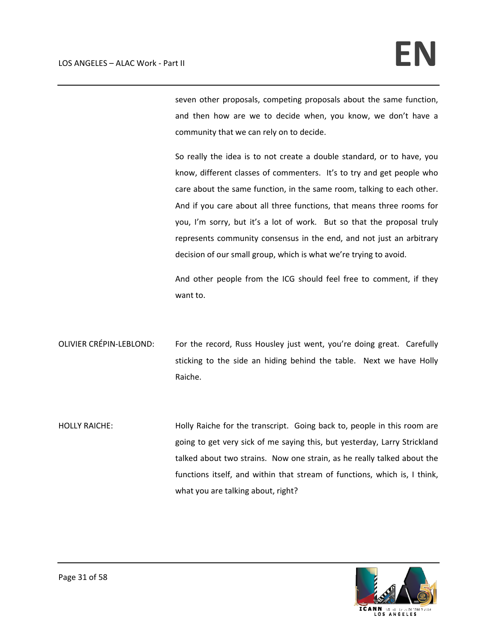seven other proposals, competing proposals about the same function, and then how are we to decide when, you know, we don't have a community that we can rely on to decide.

So really the idea is to not create a double standard, or to have, you know, different classes of commenters. It's to try and get people who care about the same function, in the same room, talking to each other. And if you care about all three functions, that means three rooms for you, I'm sorry, but it's a lot of work. But so that the proposal truly represents community consensus in the end, and not just an arbitrary decision of our small group, which is what we're trying to avoid.

And other people from the ICG should feel free to comment, if they want to.

- OLIVIER CRÉPIN-LEBLOND: For the record, Russ Housley just went, you're doing great. Carefully sticking to the side an hiding behind the table. Next we have Holly Raiche.
- HOLLY RAICHE: Holly Raiche for the transcript. Going back to, people in this room are going to get very sick of me saying this, but yesterday, Larry Strickland talked about two strains. Now one strain, as he really talked about the functions itself, and within that stream of functions, which is, I think, what you are talking about, right?

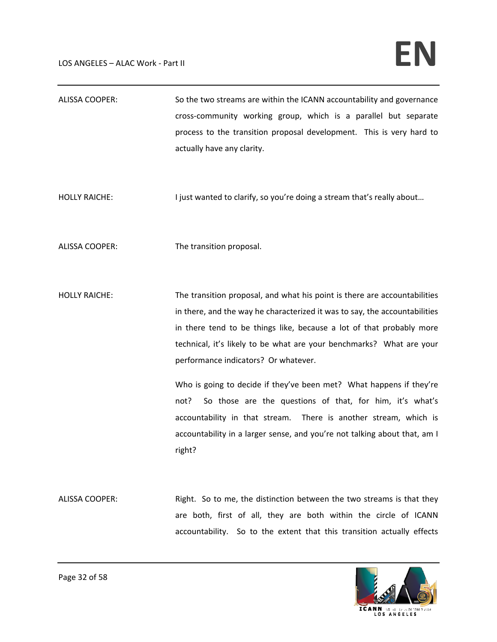ALISSA COOPER: So the two streams are within the ICANN accountability and governance cross‐community working group, which is a parallel but separate process to the transition proposal development. This is very hard to actually have any clarity. HOLLY RAICHE: I just wanted to clarify, so you're doing a stream that's really about... ALISSA COOPER: The transition proposal. HOLLY RAICHE: The transition proposal, and what his point is there are accountabilities in there, and the way he characterized it was to say, the accountabilities in there tend to be things like, because a lot of that probably more technical, it's likely to be what are your benchmarks? What are your performance indicators? Or whatever. Who is going to decide if they've been met? What happens if they're not? So those are the questions of that, for him, it's what's accountability in that stream. There is another stream, which is accountability in a larger sense, and you're not talking about that, am I right? ALISSA COOPER: Right. So to me, the distinction between the two streams is that they are both, first of all, they are both within the circle of ICANN accountability. So to the extent that this transition actually effects

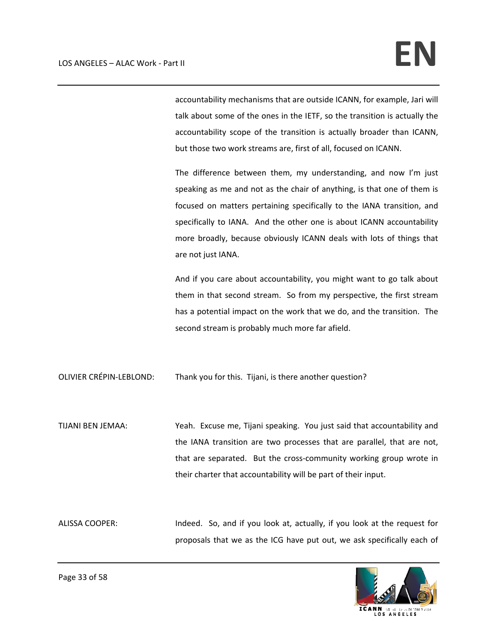accountability mechanisms that are outside ICANN, for example, Jari will talk about some of the ones in the IETF, so the transition is actually the accountability scope of the transition is actually broader than ICANN, but those two work streams are, first of all, focused on ICANN.

The difference between them, my understanding, and now I'm just speaking as me and not as the chair of anything, is that one of them is focused on matters pertaining specifically to the IANA transition, and specifically to IANA. And the other one is about ICANN accountability more broadly, because obviously ICANN deals with lots of things that are not just IANA.

And if you care about accountability, you might want to go talk about them in that second stream. So from my perspective, the first stream has a potential impact on the work that we do, and the transition. The second stream is probably much more far afield.

OLIVIER CRÉPIN‐LEBLOND: Thank you for this. Tijani, is there another question?

TIJANI BEN JEMAA: Yeah. Excuse me, Tijani speaking. You just said that accountability and the IANA transition are two processes that are parallel, that are not, that are separated. But the cross-community working group wrote in their charter that accountability will be part of their input.

ALISSA COOPER: Indeed. So, and if you look at, actually, if you look at the request for proposals that we as the ICG have put out, we ask specifically each of

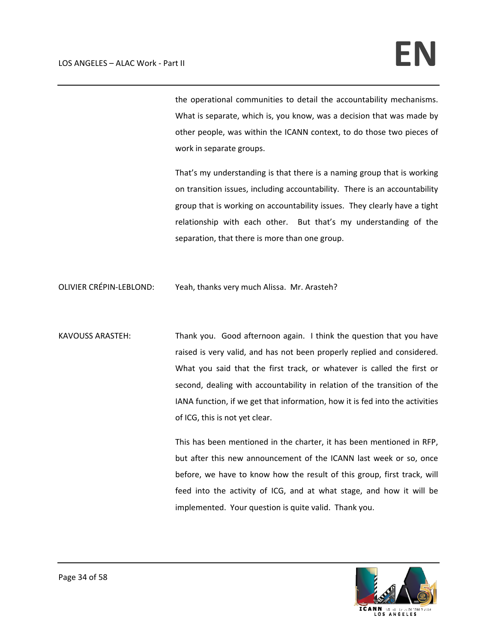the operational communities to detail the accountability mechanisms. What is separate, which is, you know, was a decision that was made by other people, was within the ICANN context, to do those two pieces of work in separate groups.

That's my understanding is that there is a naming group that is working on transition issues, including accountability. There is an accountability group that is working on accountability issues. They clearly have a tight relationship with each other. But that's my understanding of the separation, that there is more than one group.

OLIVIER CRÉPIN‐LEBLOND: Yeah, thanks very much Alissa. Mr. Arasteh?

KAVOUSS ARASTEH: Thank you. Good afternoon again. I think the question that you have raised is very valid, and has not been properly replied and considered. What you said that the first track, or whatever is called the first or second, dealing with accountability in relation of the transition of the IANA function, if we get that information, how it is fed into the activities of ICG, this is not yet clear.

> This has been mentioned in the charter, it has been mentioned in RFP, but after this new announcement of the ICANN last week or so, once before, we have to know how the result of this group, first track, will feed into the activity of ICG, and at what stage, and how it will be implemented. Your question is quite valid. Thank you.

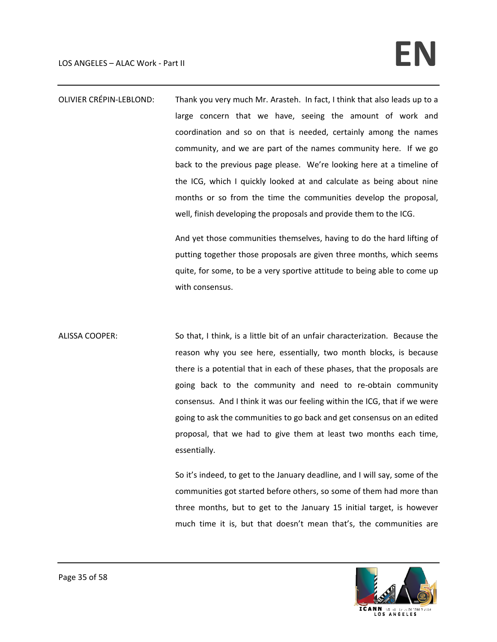OLIVIER CRÉPIN‐LEBLOND: Thank you very much Mr. Arasteh. In fact, I think that also leads up to a large concern that we have, seeing the amount of work and coordination and so on that is needed, certainly among the names community, and we are part of the names community here. If we go back to the previous page please. We're looking here at a timeline of the ICG, which I quickly looked at and calculate as being about nine months or so from the time the communities develop the proposal, well, finish developing the proposals and provide them to the ICG.

> And yet those communities themselves, having to do the hard lifting of putting together those proposals are given three months, which seems quite, for some, to be a very sportive attitude to being able to come up with consensus.

ALISSA COOPER: So that, I think, is a little bit of an unfair characterization. Because the reason why you see here, essentially, two month blocks, is because there is a potential that in each of these phases, that the proposals are going back to the community and need to re‐obtain community consensus. And I think it was our feeling within the ICG, that if we were going to ask the communities to go back and get consensus on an edited proposal, that we had to give them at least two months each time, essentially.

> So it's indeed, to get to the January deadline, and I will say, some of the communities got started before others, so some of them had more than three months, but to get to the January 15 initial target, is however much time it is, but that doesn't mean that's, the communities are

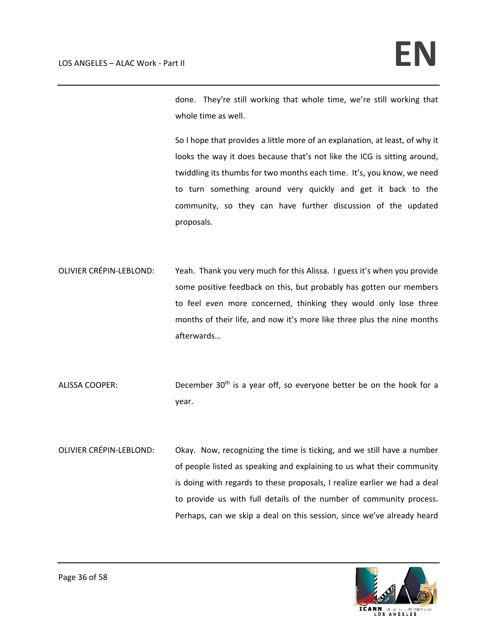done. They're still working that whole time, we're still working that whole time as well.

So I hope that provides a little more of an explanation, at least, of why it looks the way it does because that's not like the ICG is sitting around, twiddling its thumbs for two months each time. It's, you know, we need to turn something around very quickly and get it back to the community, so they can have further discussion of the updated proposals.

- OLIVIER CRÉPIN‐LEBLOND: Yeah. Thank you very much for this Alissa. I guess it's when you provide some positive feedback on this, but probably has gotten our members to feel even more concerned, thinking they would only lose three months of their life, and now it's more like three plus the nine months afterwards…
- ALISSA COOPER: December  $30<sup>th</sup>$  is a year off, so everyone better be on the hook for a year.
- OLIVIER CRÉPIN‐LEBLOND: Okay. Now, recognizing the time is ticking, and we still have a number of people listed as speaking and explaining to us what their community is doing with regards to these proposals, I realize earlier we had a deal to provide us with full details of the number of community process. Perhaps, can we skip a deal on this session, since we've already heard

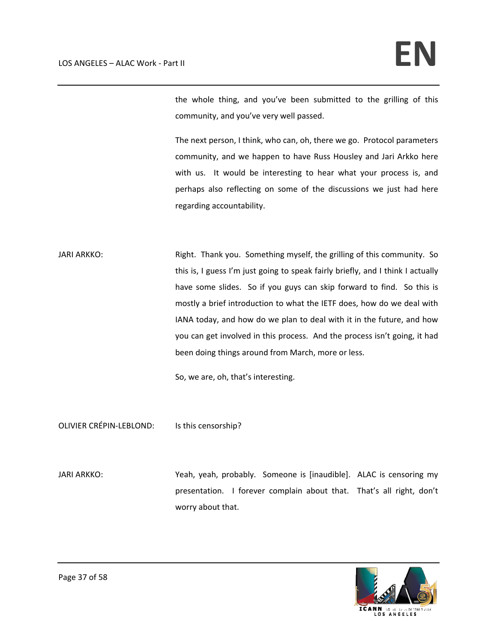the whole thing, and you've been submitted to the grilling of this community, and you've very well passed.

The next person, I think, who can, oh, there we go. Protocol parameters community, and we happen to have Russ Housley and Jari Arkko here with us. It would be interesting to hear what your process is, and perhaps also reflecting on some of the discussions we just had here regarding accountability.

JARI ARKKO: Right. Thank you. Something myself, the grilling of this community. So this is, I guess I'm just going to speak fairly briefly, and I think I actually have some slides. So if you guys can skip forward to find. So this is mostly a brief introduction to what the IETF does, how do we deal with IANA today, and how do we plan to deal with it in the future, and how you can get involved in this process. And the process isn't going, it had been doing things around from March, more or less.

So, we are, oh, that's interesting.

OLIVIER CRÉPIN-LEBLOND: Is this censorship?

JARI ARKKO: Yeah, yeah, probably. Someone is [inaudible]. ALAC is censoring my presentation. I forever complain about that. That's all right, don't worry about that.

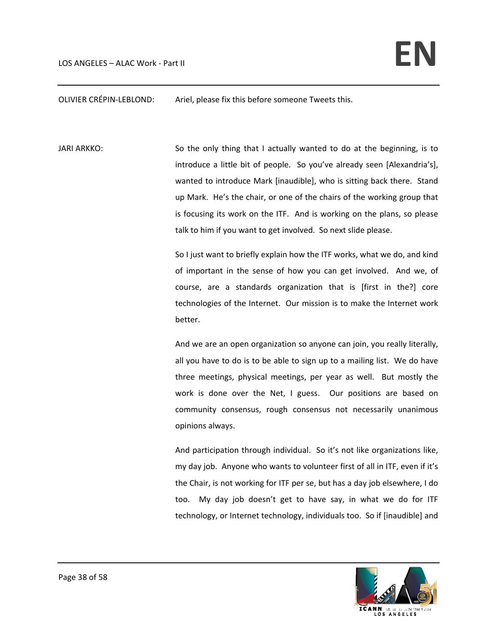OLIVIER CRÉPIN‐LEBLOND: Ariel, please fix this before someone Tweets this.

JARI ARKKO: So the only thing that I actually wanted to do at the beginning, is to introduce a little bit of people. So you've already seen [Alexandria's], wanted to introduce Mark [inaudible], who is sitting back there. Stand up Mark. He's the chair, or one of the chairs of the working group that is focusing its work on the ITF. And is working on the plans, so please talk to him if you want to get involved. So next slide please.

> So I just want to briefly explain how the ITF works, what we do, and kind of important in the sense of how you can get involved. And we, of course, are a standards organization that is [first in the?] core technologies of the Internet. Our mission is to make the Internet work better.

> And we are an open organization so anyone can join, you really literally, all you have to do is to be able to sign up to a mailing list. We do have three meetings, physical meetings, per year as well. But mostly the work is done over the Net, I guess. Our positions are based on community consensus, rough consensus not necessarily unanimous opinions always.

> And participation through individual. So it's not like organizations like, my day job. Anyone who wants to volunteer first of all in ITF, even if it's the Chair, is not working for ITF per se, but has a day job elsewhere, I do too. My day job doesn't get to have say, in what we do for ITF technology, or Internet technology, individuals too. So if [inaudible] and

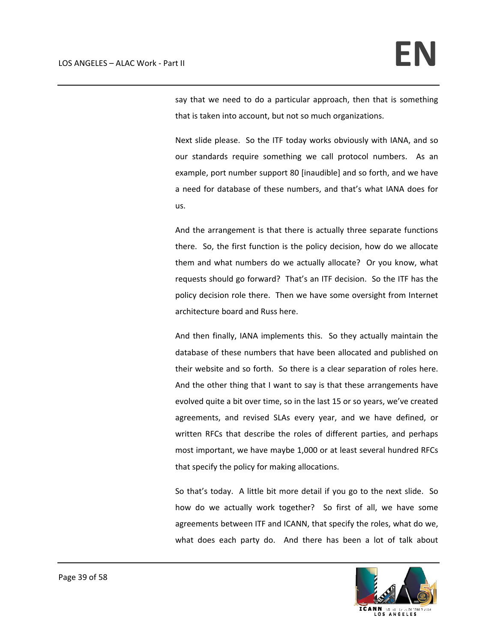say that we need to do a particular approach, then that is something that is taken into account, but not so much organizations.

Next slide please. So the ITF today works obviously with IANA, and so our standards require something we call protocol numbers. As an example, port number support 80 [inaudible] and so forth, and we have a need for database of these numbers, and that's what IANA does for us.

And the arrangement is that there is actually three separate functions there. So, the first function is the policy decision, how do we allocate them and what numbers do we actually allocate? Or you know, what requests should go forward? That's an ITF decision. So the ITF has the policy decision role there. Then we have some oversight from Internet architecture board and Russ here.

And then finally, IANA implements this. So they actually maintain the database of these numbers that have been allocated and published on their website and so forth. So there is a clear separation of roles here. And the other thing that I want to say is that these arrangements have evolved quite a bit over time, so in the last 15 or so years, we've created agreements, and revised SLAs every year, and we have defined, or written RFCs that describe the roles of different parties, and perhaps most important, we have maybe 1,000 or at least several hundred RFCs that specify the policy for making allocations.

So that's today. A little bit more detail if you go to the next slide. So how do we actually work together? So first of all, we have some agreements between ITF and ICANN, that specify the roles, what do we, what does each party do. And there has been a lot of talk about

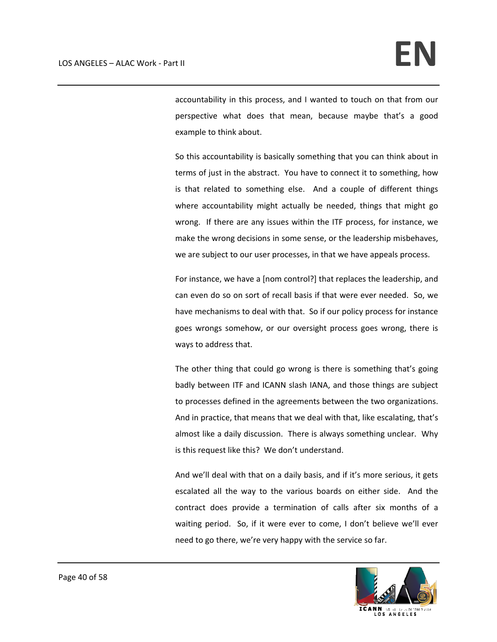accountability in this process, and I wanted to touch on that from our perspective what does that mean, because maybe that's a good example to think about.

So this accountability is basically something that you can think about in terms of just in the abstract. You have to connect it to something, how is that related to something else. And a couple of different things where accountability might actually be needed, things that might go wrong. If there are any issues within the ITF process, for instance, we make the wrong decisions in some sense, or the leadership misbehaves, we are subject to our user processes, in that we have appeals process.

For instance, we have a [nom control?] that replaces the leadership, and can even do so on sort of recall basis if that were ever needed. So, we have mechanisms to deal with that. So if our policy process for instance goes wrongs somehow, or our oversight process goes wrong, there is ways to address that.

The other thing that could go wrong is there is something that's going badly between ITF and ICANN slash IANA, and those things are subject to processes defined in the agreements between the two organizations. And in practice, that means that we deal with that, like escalating, that's almost like a daily discussion. There is always something unclear. Why is this request like this? We don't understand.

And we'll deal with that on a daily basis, and if it's more serious, it gets escalated all the way to the various boards on either side. And the contract does provide a termination of calls after six months of a waiting period. So, if it were ever to come, I don't believe we'll ever need to go there, we're very happy with the service so far.

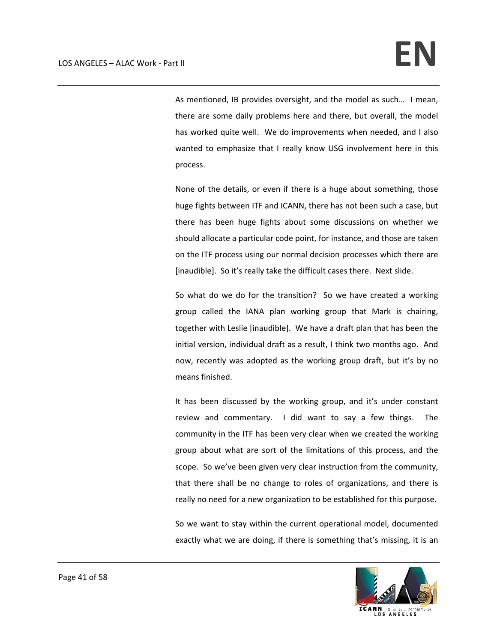As mentioned, IB provides oversight, and the model as such… I mean, there are some daily problems here and there, but overall, the model has worked quite well. We do improvements when needed, and I also wanted to emphasize that I really know USG involvement here in this process.

None of the details, or even if there is a huge about something, those huge fights between ITF and ICANN, there has not been such a case, but there has been huge fights about some discussions on whether we should allocate a particular code point, for instance, and those are taken on the ITF process using our normal decision processes which there are [inaudible]. So it's really take the difficult cases there. Next slide.

So what do we do for the transition? So we have created a working group called the IANA plan working group that Mark is chairing, together with Leslie [inaudible]. We have a draft plan that has been the initial version, individual draft as a result, I think two months ago. And now, recently was adopted as the working group draft, but it's by no means finished.

It has been discussed by the working group, and it's under constant review and commentary. I did want to say a few things. The community in the ITF has been very clear when we created the working group about what are sort of the limitations of this process, and the scope. So we've been given very clear instruction from the community, that there shall be no change to roles of organizations, and there is really no need for a new organization to be established for this purpose.

So we want to stay within the current operational model, documented exactly what we are doing, if there is something that's missing, it is an

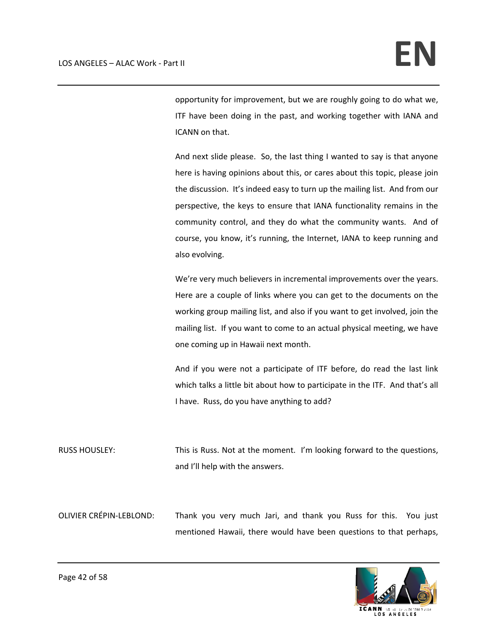opportunity for improvement, but we are roughly going to do what we, ITF have been doing in the past, and working together with IANA and ICANN on that.

And next slide please. So, the last thing I wanted to say is that anyone here is having opinions about this, or cares about this topic, please join the discussion. It's indeed easy to turn up the mailing list. And from our perspective, the keys to ensure that IANA functionality remains in the community control, and they do what the community wants. And of course, you know, it's running, the Internet, IANA to keep running and also evolving.

We're very much believers in incremental improvements over the years. Here are a couple of links where you can get to the documents on the working group mailing list, and also if you want to get involved, join the mailing list. If you want to come to an actual physical meeting, we have one coming up in Hawaii next month.

And if you were not a participate of ITF before, do read the last link which talks a little bit about how to participate in the ITF. And that's all I have. Russ, do you have anything to add?

RUSS HOUSLEY: This is Russ. Not at the moment. I'm looking forward to the questions, and I'll help with the answers.

OLIVIER CRÉPIN‐LEBLOND: Thank you very much Jari, and thank you Russ for this. You just mentioned Hawaii, there would have been questions to that perhaps,

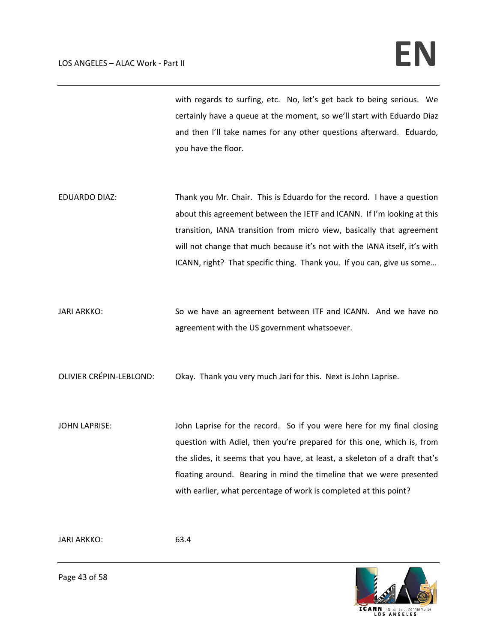with regards to surfing, etc. No, let's get back to being serious. We certainly have a queue at the moment, so we'll start with Eduardo Diaz and then I'll take names for any other questions afterward. Eduardo, you have the floor.

- EDUARDO DIAZ: Thank you Mr. Chair. This is Eduardo for the record. I have a question about this agreement between the IETF and ICANN. If I'm looking at this transition, IANA transition from micro view, basically that agreement will not change that much because it's not with the IANA itself, it's with ICANN, right? That specific thing. Thank you. If you can, give us some…
- JARI ARKKO: So we have an agreement between ITF and ICANN. And we have no agreement with the US government whatsoever.

OLIVIER CRÉPIN‐LEBLOND: Okay. Thank you very much Jari for this. Next is John Laprise.

JOHN LAPRISE: John Laprise for the record. So if you were here for my final closing question with Adiel, then you're prepared for this one, which is, from the slides, it seems that you have, at least, a skeleton of a draft that's floating around. Bearing in mind the timeline that we were presented with earlier, what percentage of work is completed at this point?

JARI ARKKO: 63.4



Page 43 of 58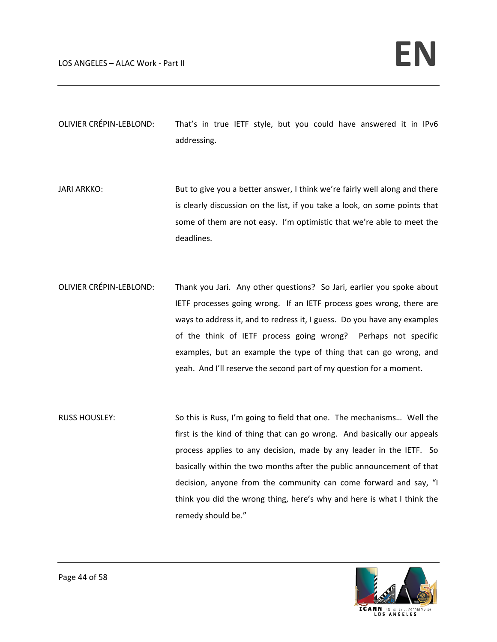OLIVIER CRÉPIN‐LEBLOND: That's in true IETF style, but you could have answered it in IPv6 addressing.

- JARI ARKKO: But to give you a better answer, I think we're fairly well along and there is clearly discussion on the list, if you take a look, on some points that some of them are not easy. I'm optimistic that we're able to meet the deadlines.
- OLIVIER CRÉPIN‐LEBLOND: Thank you Jari. Any other questions? So Jari, earlier you spoke about IETF processes going wrong. If an IETF process goes wrong, there are ways to address it, and to redress it, I guess. Do you have any examples of the think of IETF process going wrong? Perhaps not specific examples, but an example the type of thing that can go wrong, and yeah. And I'll reserve the second part of my question for a moment.
- RUSS HOUSLEY: So this is Russ, I'm going to field that one. The mechanisms... Well the first is the kind of thing that can go wrong. And basically our appeals process applies to any decision, made by any leader in the IETF. So basically within the two months after the public announcement of that decision, anyone from the community can come forward and say, "I think you did the wrong thing, here's why and here is what I think the remedy should be."

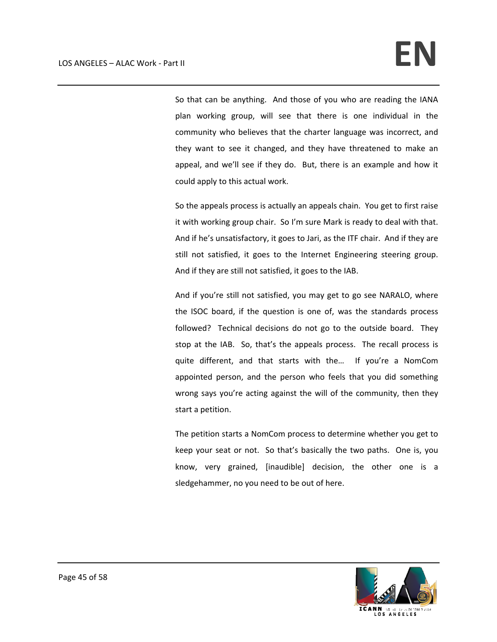So that can be anything. And those of you who are reading the IANA plan working group, will see that there is one individual in the community who believes that the charter language was incorrect, and they want to see it changed, and they have threatened to make an appeal, and we'll see if they do. But, there is an example and how it could apply to this actual work.

So the appeals process is actually an appeals chain. You get to first raise it with working group chair. So I'm sure Mark is ready to deal with that. And if he's unsatisfactory, it goes to Jari, as the ITF chair. And if they are still not satisfied, it goes to the Internet Engineering steering group. And if they are still not satisfied, it goes to the IAB.

And if you're still not satisfied, you may get to go see NARALO, where the ISOC board, if the question is one of, was the standards process followed? Technical decisions do not go to the outside board. They stop at the IAB. So, that's the appeals process. The recall process is quite different, and that starts with the... If you're a NomCom appointed person, and the person who feels that you did something wrong says you're acting against the will of the community, then they start a petition.

The petition starts a NomCom process to determine whether you get to keep your seat or not. So that's basically the two paths. One is, you know, very grained, [inaudible] decision, the other one is a sledgehammer, no you need to be out of here.

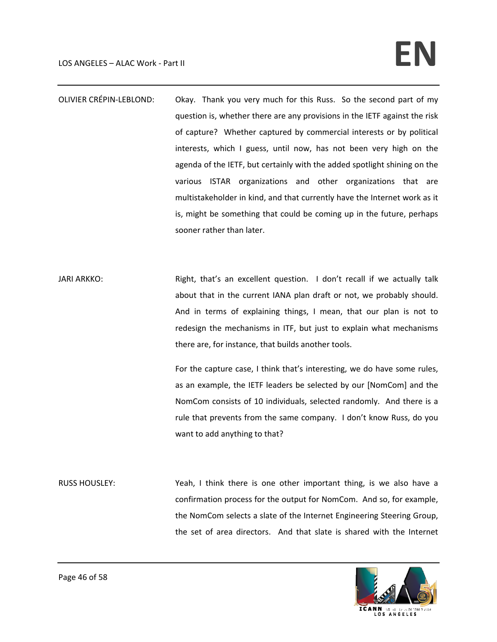## LOS ANGELES – ALAC Work - Part II **and the set of the set of the set of the set of the set of the set of the set of the set of the set of the set of the set of**  $\mathbb{R}$

- OLIVIER CRÉPIN-LEBLOND: Okay. Thank you very much for this Russ. So the second part of my question is, whether there are any provisions in the IETF against the risk of capture? Whether captured by commercial interests or by political interests, which I guess, until now, has not been very high on the agenda of the IETF, but certainly with the added spotlight shining on the various ISTAR organizations and other organizations that are multistakeholder in kind, and that currently have the Internet work as it is, might be something that could be coming up in the future, perhaps sooner rather than later.
- JARI ARKKO: Right, that's an excellent question. I don't recall if we actually talk about that in the current IANA plan draft or not, we probably should. And in terms of explaining things, I mean, that our plan is not to redesign the mechanisms in ITF, but just to explain what mechanisms there are, for instance, that builds another tools.

For the capture case, I think that's interesting, we do have some rules, as an example, the IETF leaders be selected by our [NomCom] and the NomCom consists of 10 individuals, selected randomly. And there is a rule that prevents from the same company. I don't know Russ, do you want to add anything to that?

RUSS HOUSLEY: Yeah, I think there is one other important thing, is we also have a confirmation process for the output for NomCom. And so, for example, the NomCom selects a slate of the Internet Engineering Steering Group, the set of area directors. And that slate is shared with the Internet

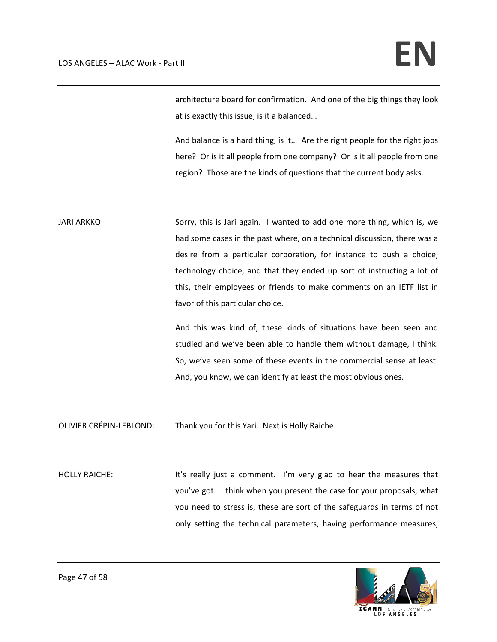architecture board for confirmation. And one of the big things they look at is exactly this issue, is it a balanced…

And balance is a hard thing, is it… Are the right people for the right jobs here? Or is it all people from one company? Or is it all people from one region? Those are the kinds of questions that the current body asks.

JARI ARKKO: Sorry, this is Jari again. I wanted to add one more thing, which is, we had some cases in the past where, on a technical discussion, there was a desire from a particular corporation, for instance to push a choice, technology choice, and that they ended up sort of instructing a lot of this, their employees or friends to make comments on an IETF list in favor of this particular choice.

> And this was kind of, these kinds of situations have been seen and studied and we've been able to handle them without damage, I think. So, we've seen some of these events in the commercial sense at least. And, you know, we can identify at least the most obvious ones.

OLIVIER CRÉPIN‐LEBLOND: Thank you for this Yari. Next is Holly Raiche.

HOLLY RAICHE: It's really just a comment. I'm very glad to hear the measures that you've got. I think when you present the case for your proposals, what you need to stress is, these are sort of the safeguards in terms of not only setting the technical parameters, having performance measures,

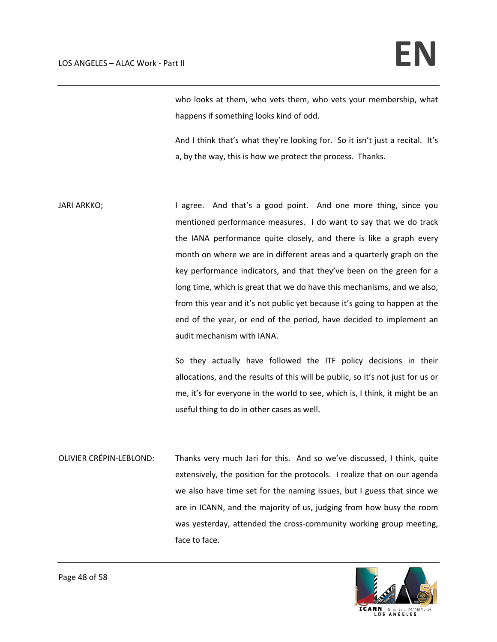who looks at them, who vets them, who vets your membership, what happens if something looks kind of odd.

And I think that's what they're looking for. So it isn't just a recital. It's a, by the way, this is how we protect the process. Thanks.

JARI ARKKO; The same carrier and that's a good point. And one more thing, since you mentioned performance measures. I do want to say that we do track the IANA performance quite closely, and there is like a graph every month on where we are in different areas and a quarterly graph on the key performance indicators, and that they've been on the green for a long time, which is great that we do have this mechanisms, and we also, from this year and it's not public yet because it's going to happen at the end of the year, or end of the period, have decided to implement an audit mechanism with IANA.

> So they actually have followed the ITF policy decisions in their allocations, and the results of this will be public, so it's not just for us or me, it's for everyone in the world to see, which is, I think, it might be an useful thing to do in other cases as well.

OLIVIER CRÉPIN‐LEBLOND: Thanks very much Jari for this. And so we've discussed, I think, quite extensively, the position for the protocols. I realize that on our agenda we also have time set for the naming issues, but I guess that since we are in ICANN, and the majority of us, judging from how busy the room was yesterday, attended the cross-community working group meeting, face to face.

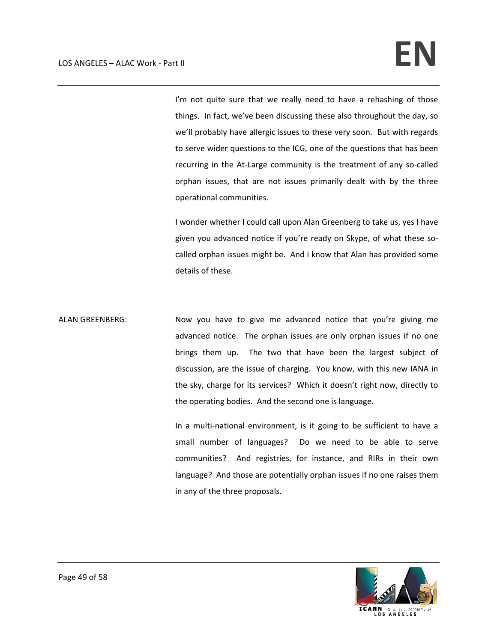I'm not quite sure that we really need to have a rehashing of those things. In fact, we've been discussing these also throughout the day, so we'll probably have allergic issues to these very soon. But with regards to serve wider questions to the ICG, one of the questions that has been recurring in the At-Large community is the treatment of any so-called orphan issues, that are not issues primarily dealt with by the three operational communities.

I wonder whether I could call upon Alan Greenberg to take us, yes I have given you advanced notice if you're ready on Skype, of what these so‐ called orphan issues might be. And I know that Alan has provided some details of these.

ALAN GREENBERG: Now you have to give me advanced notice that you're giving me advanced notice. The orphan issues are only orphan issues if no one brings them up. The two that have been the largest subject of discussion, are the issue of charging. You know, with this new IANA in the sky, charge for its services? Which it doesn't right now, directly to the operating bodies. And the second one is language.

> In a multi-national environment, is it going to be sufficient to have a small number of languages? Do we need to be able to serve communities? And registries, for instance, and RIRs in their own language? And those are potentially orphan issues if no one raises them in any of the three proposals.

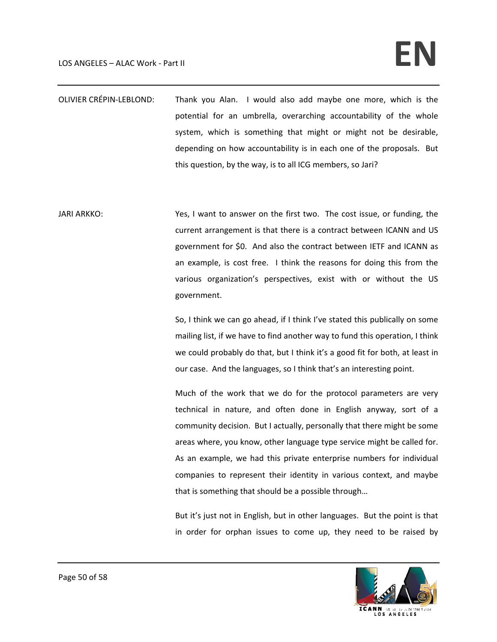## LOS ANGELES – ALAC Work - Part II **and the set of the set of the set of the set of the set of the set of the set of the set of the set of the set of the set of**  $\mathbb{R}$

- OLIVIER CRÉPIN‐LEBLOND: Thank you Alan. I would also add maybe one more, which is the potential for an umbrella, overarching accountability of the whole system, which is something that might or might not be desirable, depending on how accountability is in each one of the proposals. But this question, by the way, is to all ICG members, so Jari?
- JARI ARKKO: Yes, I want to answer on the first two. The cost issue, or funding, the current arrangement is that there is a contract between ICANN and US government for \$0. And also the contract between IETF and ICANN as an example, is cost free. I think the reasons for doing this from the various organization's perspectives, exist with or without the US government.

So, I think we can go ahead, if I think I've stated this publically on some mailing list, if we have to find another way to fund this operation, I think we could probably do that, but I think it's a good fit for both, at least in our case. And the languages, so I think that's an interesting point.

Much of the work that we do for the protocol parameters are very technical in nature, and often done in English anyway, sort of a community decision. But I actually, personally that there might be some areas where, you know, other language type service might be called for. As an example, we had this private enterprise numbers for individual companies to represent their identity in various context, and maybe that is something that should be a possible through…

But it's just not in English, but in other languages. But the point is that in order for orphan issues to come up, they need to be raised by

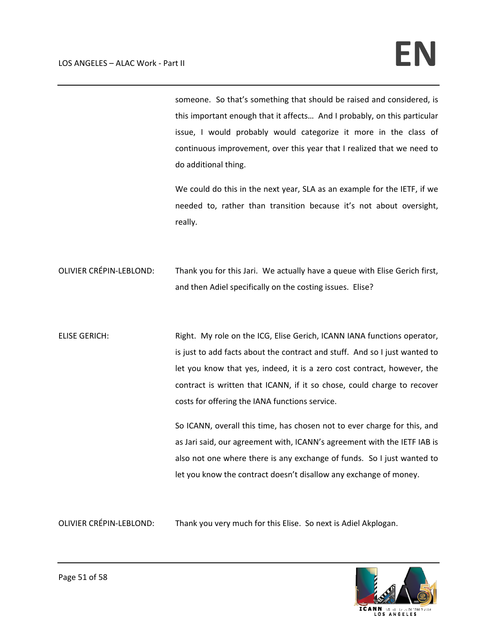someone. So that's something that should be raised and considered, is this important enough that it affects… And I probably, on this particular issue, I would probably would categorize it more in the class of continuous improvement, over this year that I realized that we need to do additional thing.

We could do this in the next year, SLA as an example for the IETF, if we needed to, rather than transition because it's not about oversight, really.

OLIVIER CRÉPIN‐LEBLOND: Thank you for this Jari. We actually have a queue with Elise Gerich first, and then Adiel specifically on the costing issues. Elise?

ELISE GERICH: Right. My role on the ICG, Elise Gerich, ICANN IANA functions operator, is just to add facts about the contract and stuff. And so I just wanted to let you know that yes, indeed, it is a zero cost contract, however, the contract is written that ICANN, if it so chose, could charge to recover costs for offering the IANA functions service.

> So ICANN, overall this time, has chosen not to ever charge for this, and as Jari said, our agreement with, ICANN's agreement with the IETF IAB is also not one where there is any exchange of funds. So I just wanted to let you know the contract doesn't disallow any exchange of money.

OLIVIER CRÉPIN‐LEBLOND: Thank you very much for this Elise. So next is Adiel Akplogan.

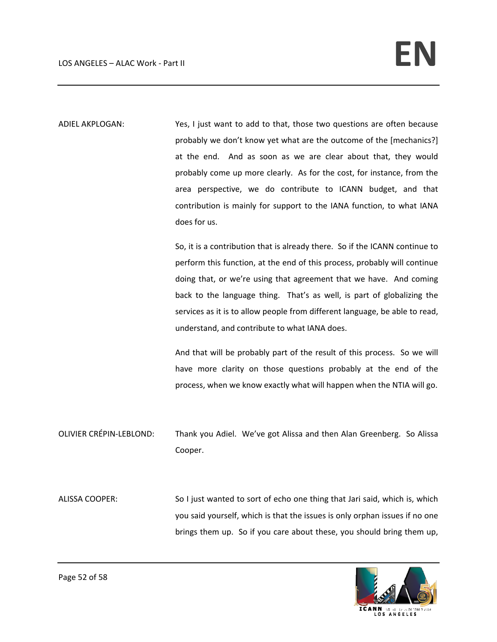ADIEL AKPLOGAN: Yes, I just want to add to that, those two questions are often because probably we don't know yet what are the outcome of the [mechanics?] at the end. And as soon as we are clear about that, they would probably come up more clearly. As for the cost, for instance, from the area perspective, we do contribute to ICANN budget, and that contribution is mainly for support to the IANA function, to what IANA does for us.

> So, it is a contribution that is already there. So if the ICANN continue to perform this function, at the end of this process, probably will continue doing that, or we're using that agreement that we have. And coming back to the language thing. That's as well, is part of globalizing the services as it is to allow people from different language, be able to read, understand, and contribute to what IANA does.

> And that will be probably part of the result of this process. So we will have more clarity on those questions probably at the end of the process, when we know exactly what will happen when the NTIA will go.

OLIVIER CRÉPIN‐LEBLOND: Thank you Adiel. We've got Alissa and then Alan Greenberg. So Alissa Cooper.

ALISSA COOPER: So I just wanted to sort of echo one thing that Jari said, which is, which you said yourself, which is that the issues is only orphan issues if no one brings them up. So if you care about these, you should bring them up,

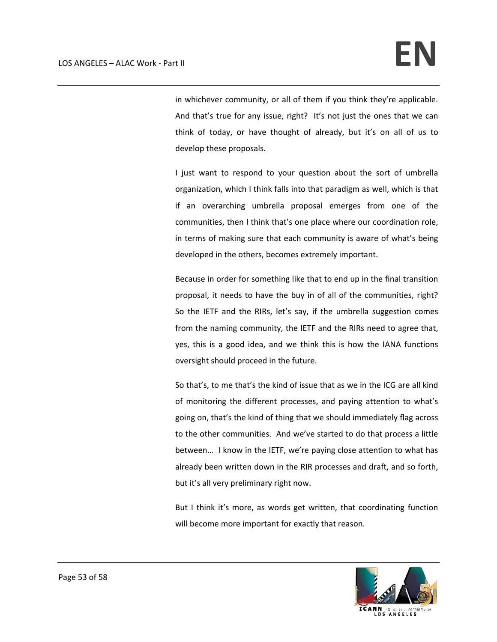in whichever community, or all of them if you think they're applicable. And that's true for any issue, right? It's not just the ones that we can think of today, or have thought of already, but it's on all of us to develop these proposals.

I just want to respond to your question about the sort of umbrella organization, which I think falls into that paradigm as well, which is that if an overarching umbrella proposal emerges from one of the communities, then I think that's one place where our coordination role, in terms of making sure that each community is aware of what's being developed in the others, becomes extremely important.

Because in order for something like that to end up in the final transition proposal, it needs to have the buy in of all of the communities, right? So the IETF and the RIRs, let's say, if the umbrella suggestion comes from the naming community, the IETF and the RIRs need to agree that, yes, this is a good idea, and we think this is how the IANA functions oversight should proceed in the future.

So that's, to me that's the kind of issue that as we in the ICG are all kind of monitoring the different processes, and paying attention to what's going on, that's the kind of thing that we should immediately flag across to the other communities. And we've started to do that process a little between… I know in the IETF, we're paying close attention to what has already been written down in the RIR processes and draft, and so forth, but it's all very preliminary right now.

But I think it's more, as words get written, that coordinating function will become more important for exactly that reason.

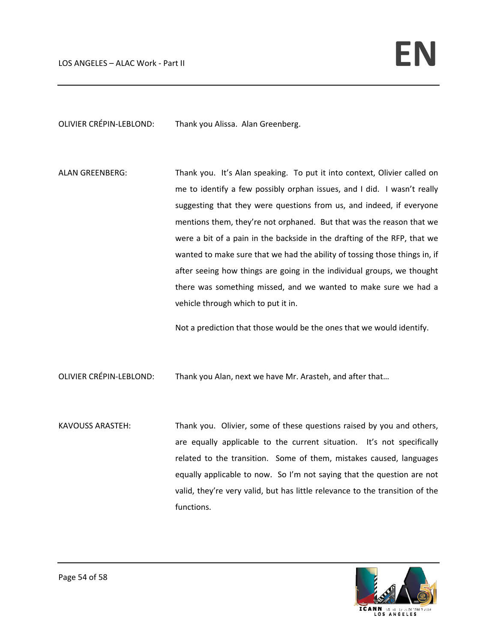OLIVIER CRÉPIN‐LEBLOND: Thank you Alissa. Alan Greenberg.

ALAN GREENBERG: Thank you. It's Alan speaking. To put it into context, Olivier called on me to identify a few possibly orphan issues, and I did. I wasn't really suggesting that they were questions from us, and indeed, if everyone mentions them, they're not orphaned. But that was the reason that we were a bit of a pain in the backside in the drafting of the RFP, that we wanted to make sure that we had the ability of tossing those things in, if after seeing how things are going in the individual groups, we thought there was something missed, and we wanted to make sure we had a vehicle through which to put it in.

Not a prediction that those would be the ones that we would identify.

OLIVIER CRÉPIN‐LEBLOND: Thank you Alan, next we have Mr. Arasteh, and after that…

KAVOUSS ARASTEH: Thank you. Olivier, some of these questions raised by you and others, are equally applicable to the current situation. It's not specifically related to the transition. Some of them, mistakes caused, languages equally applicable to now. So I'm not saying that the question are not valid, they're very valid, but has little relevance to the transition of the functions.

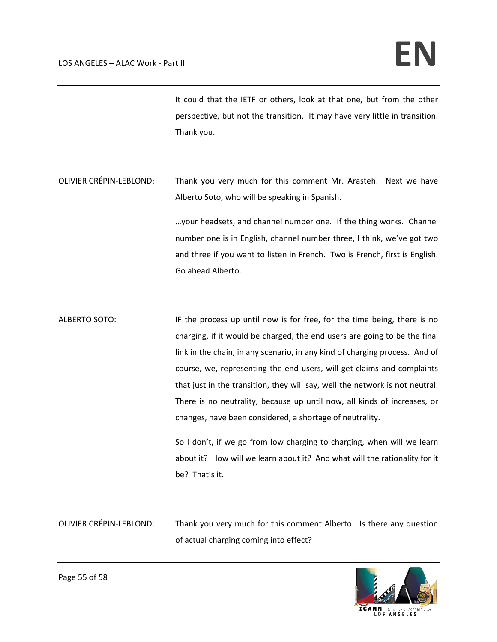It could that the IETF or others, look at that one, but from the other perspective, but not the transition. It may have very little in transition. Thank you.

OLIVIER CRÉPIN‐LEBLOND: Thank you very much for this comment Mr. Arasteh. Next we have Alberto Soto, who will be speaking in Spanish.

> …your headsets, and channel number one. If the thing works. Channel number one is in English, channel number three, I think, we've got two and three if you want to listen in French. Two is French, first is English. Go ahead Alberto.

ALBERTO SOTO: IF the process up until now is for free, for the time being, there is no charging, if it would be charged, the end users are going to be the final link in the chain, in any scenario, in any kind of charging process. And of course, we, representing the end users, will get claims and complaints that just in the transition, they will say, well the network is not neutral. There is no neutrality, because up until now, all kinds of increases, or changes, have been considered, a shortage of neutrality.

> So I don't, if we go from low charging to charging, when will we learn about it? How will we learn about it? And what will the rationality for it be? That's it.

OLIVIER CRÉPIN‐LEBLOND: Thank you very much for this comment Alberto. Is there any question of actual charging coming into effect?

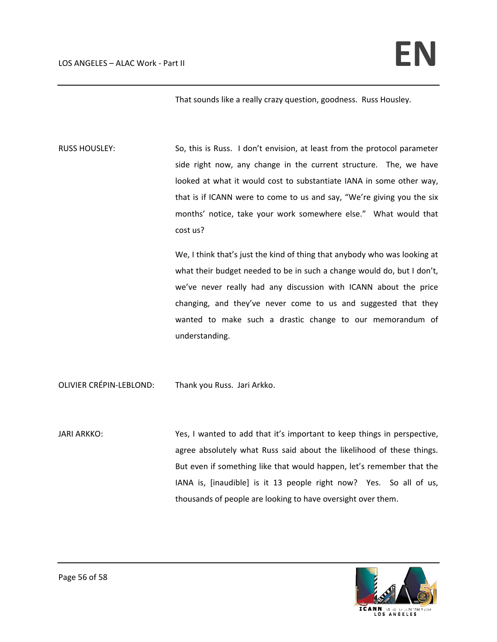That sounds like a really crazy question, goodness. Russ Housley.

RUSS HOUSLEY: So, this is Russ. I don't envision, at least from the protocol parameter side right now, any change in the current structure. The, we have looked at what it would cost to substantiate IANA in some other way, that is if ICANN were to come to us and say, "We're giving you the six months' notice, take your work somewhere else." What would that cost us?

> We, I think that's just the kind of thing that anybody who was looking at what their budget needed to be in such a change would do, but I don't, we've never really had any discussion with ICANN about the price changing, and they've never come to us and suggested that they wanted to make such a drastic change to our memorandum of understanding.

OLIVIER CRÉPIN‐LEBLOND: Thank you Russ. Jari Arkko.

JARI ARKKO: Yes, I wanted to add that it's important to keep things in perspective, agree absolutely what Russ said about the likelihood of these things. But even if something like that would happen, let's remember that the IANA is, [inaudible] is it 13 people right now? Yes. So all of us, thousands of people are looking to have oversight over them.

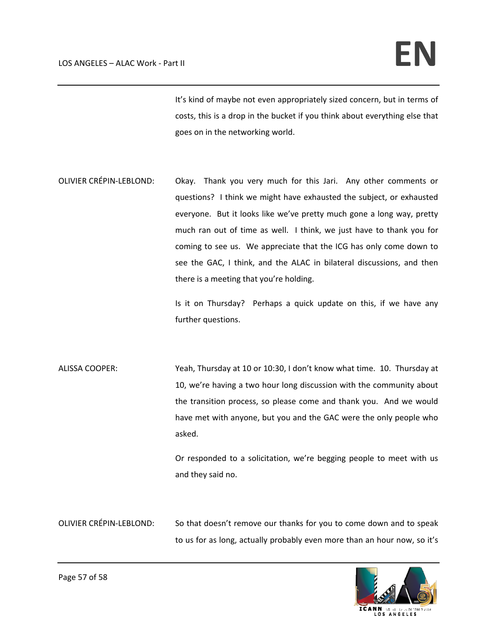It's kind of maybe not even appropriately sized concern, but in terms of costs, this is a drop in the bucket if you think about everything else that goes on in the networking world.

OLIVIER CRÉPIN‐LEBLOND: Okay. Thank you very much for this Jari. Any other comments or questions? I think we might have exhausted the subject, or exhausted everyone. But it looks like we've pretty much gone a long way, pretty much ran out of time as well. I think, we just have to thank you for coming to see us. We appreciate that the ICG has only come down to see the GAC, I think, and the ALAC in bilateral discussions, and then there is a meeting that you're holding.

> Is it on Thursday? Perhaps a quick update on this, if we have any further questions.

ALISSA COOPER: Yeah, Thursday at 10 or 10:30, I don't know what time. 10. Thursday at 10, we're having a two hour long discussion with the community about the transition process, so please come and thank you. And we would have met with anyone, but you and the GAC were the only people who asked.

> Or responded to a solicitation, we're begging people to meet with us and they said no.

OLIVIER CRÉPIN‐LEBLOND: So that doesn't remove our thanks for you to come down and to speak to us for as long, actually probably even more than an hour now, so it's